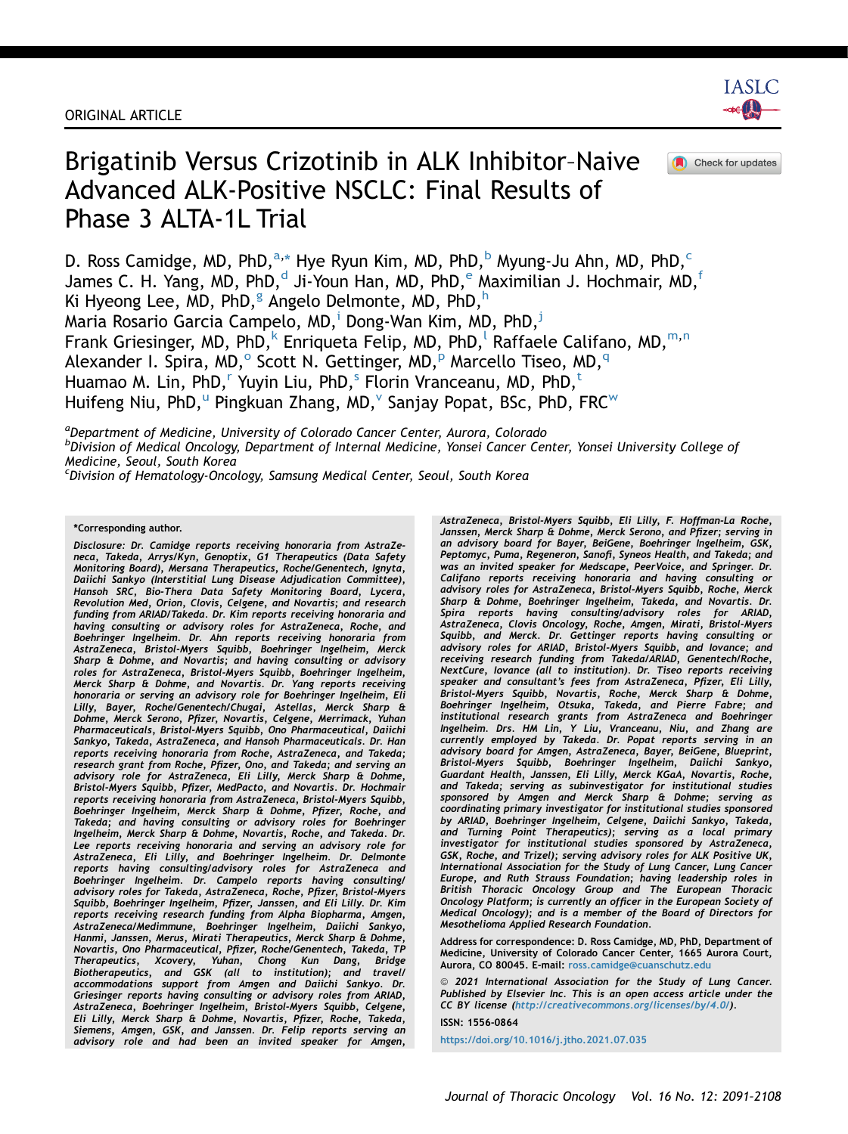

# Brigatinib Versus Crizotinib in ALK Inhibitor–Naive Advanced ALK-Positive NSCLC: Final Results of Phase 3 ALTA-1L Trial



D. Ross C[a](#page-0-0)midge, MD, PhD,<sup>a,\*</sup> Hye Ryun Kim, MD, PhD,<sup>[b](#page-0-1)</sup> Myung-Ju Ahn, MD, PhD,<sup>[c](#page-0-2)</sup> James C. H. Yang, MD, PhD,<sup>[d](#page-1-0)</sup> Ji-Youn Han, MD, PhD,<sup>[e](#page-1-1)</sup> Maximilian J. Hochmair, MD,<sup>[f](#page-1-2)</sup> Ki Hyeon[g](#page-1-3) Lee, MD, P[h](#page-1-4)D,<sup>g</sup> Angelo Delmonte, MD, PhD,h Mar[i](#page-1-5)a Rosario Garcia Campelo, MD,<sup>1</sup> Dong-Wan Kim, MD, PhD,<sup>1</sup> Fran[k](#page-1-7) Griesinger, MD, PhD, Enriqueta Fe[l](#page-1-8)ip, MD, PhD, Raffaele Califano, MD, [m](#page-1-9)[,n](#page-1-10) Alexander I. S[p](#page-1-12)ira, MD, $^{\circ}$  Sc[o](#page-1-11)tt N. Gettinger, MD, $^{\circ}$  Marcello Tiseo, MD, $^{\circ}$ Huamao M. Lin, PhD,<sup>[r](#page-1-14)</[s](#page-1-15)up> Yuyin Liu, PhD,<sup>s</sup> Florin Vranceanu, MD, PhD,<sup>t</sup> H[u](#page-1-17)ifeng Niu, PhD,<sup>u</sup> Pingkuan Zhang, MD,<sup>[v](#page-1-18)</sup> Sanjay Popat, BSc, PhD, FRC<sup>[w](#page-1-19)</sup>

<span id="page-0-1"></span><span id="page-0-0"></span><sup>a</sup>Department of Medicine, University of Colorado Cancer Center, Aurora, Colorado b Division of Medical Oncology, Department of Internal Medicine, Yonsei Cancer Center, Yonsei University College of Medicine, Seoul, South Korea

<span id="page-0-2"></span><sup>c</sup>Division of Hematology-Oncology, Samsung Medical Center, Seoul, South Korea

\*Corresponding author.

Disclosure: Dr. Camidge reports receiving honoraria from AstraZeneca, Takeda, Arrys/Kyn, Genoptix, G1 Therapeutics (Data Safety Monitoring Board), Mersana Therapeutics, Roche/Genentech, Ignyta, Daiichi Sankyo (Interstitial Lung Disease Adjudication Committee), Hansoh SRC, Bio-Thera Data Safety Monitoring Board, Lycera, Revolution Med, Orion, Clovis, Celgene, and Novartis; and research funding from ARIAD/Takeda. Dr. Kim reports receiving honoraria and having consulting or advisory roles for AstraZeneca, Roche, and Boehringer Ingelheim. Dr. Ahn reports receiving honoraria from AstraZeneca, Bristol-Myers Squibb, Boehringer Ingelheim, Merck Sharp & Dohme, and Novartis; and having consulting or advisory roles for AstraZeneca, Bristol-Myers Squibb, Boehringer Ingelheim, Merck Sharp & Dohme, and Novartis. Dr. Yang reports receiving honoraria or serving an advisory role for Boehringer Ingelheim, Eli Lilly, Bayer, Roche/Genentech/Chugai, Astellas, Merck Sharp & Dohme, Merck Serono, Pfizer, Novartis, Celgene, Merrimack, Yuhan Pharmaceuticals, Bristol-Myers Squibb, Ono Pharmaceutical, Daiichi Sankyo, Takeda, AstraZeneca, and Hansoh Pharmaceuticals. Dr. Han reports receiving honoraria from Roche, AstraZeneca, and Takeda; research grant from Roche, Pfizer, Ono, and Takeda; and serving an advisory role for AstraZeneca, Eli Lilly, Merck Sharp & Dohme, Bristol-Myers Squibb, Pfizer, MedPacto, and Novartis. Dr. Hochmair reports receiving honoraria from AstraZeneca, Bristol-Myers Squibb, Boehringer Ingelheim, Merck Sharp & Dohme, Pfizer, Roche, and Takeda; and having consulting or advisory roles for Boehringer Ingelheim, Merck Sharp & Dohme, Novartis, Roche, and Takeda. Dr. Lee reports receiving honoraria and serving an advisory role for AstraZeneca, Eli Lilly, and Boehringer Ingelheim. Dr. Delmonte reports having consulting/advisory roles for AstraZeneca and Boehringer Ingelheim. Dr. Campelo reports having consulting/ advisory roles for Takeda, AstraZeneca, Roche, Pfizer, Bristol-Myers Squibb, Boehringer Ingelheim, Pfizer, Janssen, and Eli Lilly. Dr. Kim reports receiving research funding from Alpha Biopharma, Amgen, AstraZeneca/Medimmune, Boehringer Ingelheim, Daiichi Sankyo, Hanmi, Janssen, Merus, Mirati Therapeutics, Merck Sharp & Dohme, Novartis, Ono Pharmaceutical, Pfizer, Roche/Genentech, Takeda, TP Therapeutics, Xcovery, Yuhan, Chong Kun Dang, Bridge Biotherapeutics, and GSK (all to institution); and travel/ accommodations support from Amgen and Daiichi Sankyo. Dr. Griesinger reports having consulting or advisory roles from ARIAD, AstraZeneca, Boehringer Ingelheim, Bristol-Myers Squibb, Celgene, Eli Lilly, Merck Sharp & Dohme, Novartis, Pfizer, Roche, Takeda, Siemens, Amgen, GSK, and Janssen. Dr. Felip reports serving an advisory role and had been an invited speaker for Amgen, AstraZeneca, Bristol-Myers Squibb, Eli Lilly, F. Hoffman-La Roche, Janssen, Merck Sharp & Dohme, Merck Serono, and Pfizer; serving in an advisory board for Bayer, BeiGene, Boehringer Ingelheim, GSK, Peptomyc, Puma, Regeneron, Sanofi, Syneos Health, and Takeda; and was an invited speaker for Medscape, PeerVoice, and Springer. Dr. Califano reports receiving honoraria and having consulting or advisory roles for AstraZeneca, Bristol-Myers Squibb, Roche, Merck Sharp & Dohme, Boehringer Ingelheim, Takeda, and Novartis. Dr. Spira reports having consulting/advisory roles for ARIAD, AstraZeneca, Clovis Oncology, Roche, Amgen, Mirati, Bristol-Myers Squibb, and Merck. Dr. Gettinger reports having consulting or advisory roles for ARIAD, Bristol-Myers Squibb, and Iovance; and receiving research funding from Takeda/ARIAD, Genentech/Roche, NextCure, Iovance (all to institution). Dr. Tiseo reports receiving speaker and consultant's fees from AstraZeneca, Pfizer, Eli Lilly, Bristol-Myers Squibb, Novartis, Roche, Merck Sharp & Dohme, Boehringer Ingelheim, Otsuka, Takeda, and Pierre Fabre; and institutional research grants from AstraZeneca and Boehringer Ingelheim. Drs. HM Lin, Y Liu, Vranceanu, Niu, and Zhang are currently employed by Takeda. Dr. Popat reports serving in an advisory board for Amgen, AstraZeneca, Bayer, BeiGene, Blueprint, Bristol-Myers Squibb, Boehringer Ingelheim, Daiichi Sankyo, Guardant Health, Janssen, Eli Lilly, Merck KGaA, Novartis, Roche, and Takeda; serving as subinvestigator for institutional studies sponsored by Amgen and Merck Sharp & Dohme; serving as coordinating primary investigator for institutional studies sponsored by ARIAD, Boehringer Ingelheim, Celgene, Daiichi Sankyo, Takeda, and Turning Point Therapeutics); serving as a local primary investigator for institutional studies sponsored by AstraZeneca, GSK, Roche, and Trizel); serving advisory roles for ALK Positive UK, International Association for the Study of Lung Cancer, Lung Cancer Europe, and Ruth Strauss Foundation; having leadership roles in British Thoracic Oncology Group and The European Thoracic Oncology Platform; is currently an officer in the European Society of Medical Oncology); and is a member of the Board of Directors for Mesothelioma Applied Research Foundation.

Address for correspondence: D. Ross Camidge, MD, PhD, Department of Medicine, University of Colorado Cancer Center, 1665 Aurora Court, Aurora, CO 80045. E-mail: [ross.camidge@cuanschutz.edu](mailto:ross.camidge@cuanschutz.edu)

2021 International Association for the Study of Lung Cancer. Published by Elsevier Inc. This is an open access article under the CC BY license ([http://creativecommons.org/licenses/by/4.0/\)](http://creativecommons.org/licenses/by/4.0/).

ISSN: 1556-0864

<https://doi.org/10.1016/j.jtho.2021.07.035>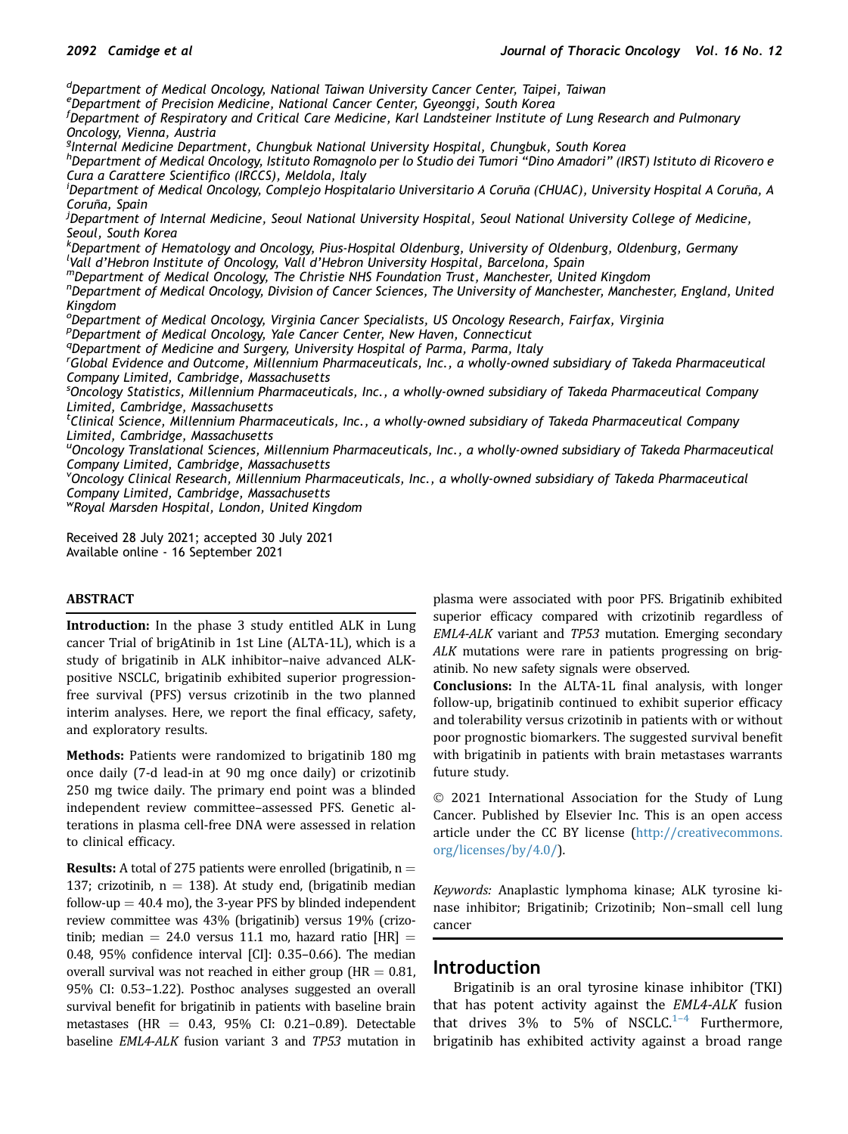<span id="page-1-10"></span><span id="page-1-9"></span><span id="page-1-8"></span><span id="page-1-7"></span><span id="page-1-6"></span><span id="page-1-5"></span><span id="page-1-4"></span><span id="page-1-3"></span><span id="page-1-2"></span><span id="page-1-1"></span><span id="page-1-0"></span><sup>d</sup>Department of Medical Oncology, National Taiwan University Cancer Center, Taipei, Taiwan e Department of Precision Medicine, National Cancer Center, Gyeonggi, South Korea <sup>f</sup>Department of Respiratory and Critical Care Medicine, Karl Landsteiner Institute of Lung Research and Pulmonary Oncology, Vienna, Austria <sup>g</sup>Internal Medicine Department, Chungbuk National University Hospital, Chungbuk, South Korea <sup>h</sup>Department of Medical Oncology, Istituto Romagnolo per lo Studio dei Tumori "Dino Amadori" (IRST) Istituto di Ricovero e Cura a Carattere Scientifico (IRCCS), Meldola, Italy <sup>i</sup> Department of Medical Oncology, Complejo Hospitalario Universitario A Coruña (CHUAC), University Hospital A Coruña, A Coruña, Spain <sup>j</sup>Department of Internal Medicine, Seoul National University Hospital, Seoul National University College of Medicine, Seoul, South Korea k Department of Hematology and Oncology, Pius-Hospital Oldenburg, University of Oldenburg, Oldenburg, Germany Vall d'Hebron Institute of Oncology, Vall d'Hebron University Hospital, Barcelona, Spain <sup>m</sup>Department of Medical Oncology, The Christie NHS Foundation Trust, Manchester, United Kingdom <sup>n</sup>Department of Medical Oncology, Division of Cancer Sciences, The University of Manchester, Manchester, England, United Kingdom  $^{\rm o}$ De $\rm {partial}$  of Medical Oncology, Virginia Cancer Specialists, US Oncology Research, Fairfax, Virginia <sup>p</sup>Department of Medical Oncology, Yale Cancer Center, New Haven, Connecticut <sup>q</sup>Department of Medicine and Surgery, University Hospital of Parma, Parma, Italy r Global Evidence and Outcome, Millennium Pharmaceuticals, Inc., a wholly-owned subsidiary of Takeda Pharmaceutical Company Limited, Cambridge, Massachusetts <sup>s</sup>Oncology Statistics, Millennium Pharmaceuticals, Inc., a wholly-owned subsidiary of Takeda Pharmaceutical Company Limited, Cambridge, Massachusetts <sup>t</sup>Clinical Science, Millennium Pharmaceuticals, Inc., a wholly-owned subsidiary of Takeda Pharmaceutical Company Limited, Cambridge, Massachusetts u Oncology Translational Sciences, Millennium Pharmaceuticals, Inc., a wholly-owned subsidiary of Takeda Pharmaceutical Company Limited, Cambridge, Massachusetts v Oncology Clinical Research, Millennium Pharmaceuticals, Inc., a wholly-owned subsidiary of Takeda Pharmaceutical Company Limited, Cambridge, Massachusetts

<span id="page-1-19"></span><span id="page-1-18"></span><span id="page-1-17"></span><span id="page-1-16"></span><span id="page-1-15"></span><span id="page-1-14"></span><span id="page-1-13"></span><span id="page-1-12"></span><span id="page-1-11"></span>wRoyal Marsden Hospital, London, United Kingdom

Received 28 July 2021; accepted 30 July 2021 Available online - 16 September 2021

#### ABSTRACT

Introduction: In the phase 3 study entitled ALK in Lung cancer Trial of brigAtinib in 1st Line (ALTA-1L), which is a study of brigatinib in ALK inhibitor–naive advanced ALKpositive NSCLC, brigatinib exhibited superior progressionfree survival (PFS) versus crizotinib in the two planned interim analyses. Here, we report the final efficacy, safety, and exploratory results.

Methods: Patients were randomized to brigatinib 180 mg once daily (7-d lead-in at 90 mg once daily) or crizotinib 250 mg twice daily. The primary end point was a blinded independent review committee–assessed PFS. Genetic alterations in plasma cell-free DNA were assessed in relation to clinical efficacy.

**Results:** A total of 275 patients were enrolled (brigatinib,  $n =$ 137; crizotinib,  $n = 138$ ). At study end, (brigatinib median follow-up  $=$  40.4 mo), the 3-year PFS by blinded independent review committee was 43% (brigatinib) versus 19% (crizotinib; median = 24.0 versus 11.1 mo, hazard ratio  $[HR] =$ 0.48, 95% confidence interval [CI]: 0.35–0.66). The median overall survival was not reached in either group  $(HR = 0.81,$ 95% CI: 0.53–1.22). Posthoc analyses suggested an overall survival benefit for brigatinib in patients with baseline brain metastases (HR =  $0.43$ , 95% CI: 0.21-0.89). Detectable baseline EML4-ALK fusion variant 3 and TP53 mutation in plasma were associated with poor PFS. Brigatinib exhibited superior efficacy compared with crizotinib regardless of EML4-ALK variant and TP53 mutation. Emerging secondary ALK mutations were rare in patients progressing on brigatinib. No new safety signals were observed.

Conclusions: In the ALTA-1L final analysis, with longer follow-up, brigatinib continued to exhibit superior efficacy and tolerability versus crizotinib in patients with or without poor prognostic biomarkers. The suggested survival benefit with brigatinib in patients with brain metastases warrants future study.

© 2021 International Association for the Study of Lung Cancer. Published by Elsevier Inc. This is an open access article under the CC BY license ([http://creativecommons.](http://creativecommons.org/licenses/by/4.0/) [org/licenses/by/4.0/\)](http://creativecommons.org/licenses/by/4.0/).

Keywords: Anaplastic lymphoma kinase; ALK tyrosine kinase inhibitor; Brigatinib; Crizotinib; Non–small cell lung cancer

### Introduction

Brigatinib is an oral tyrosine kinase inhibitor (TKI) that has potent activity against the EML4-ALK fusion that drives 3% to 5% of NSCLC.<sup>1-[4](#page-16-0)</sup> Furthermore, brigatinib has exhibited activity against a broad range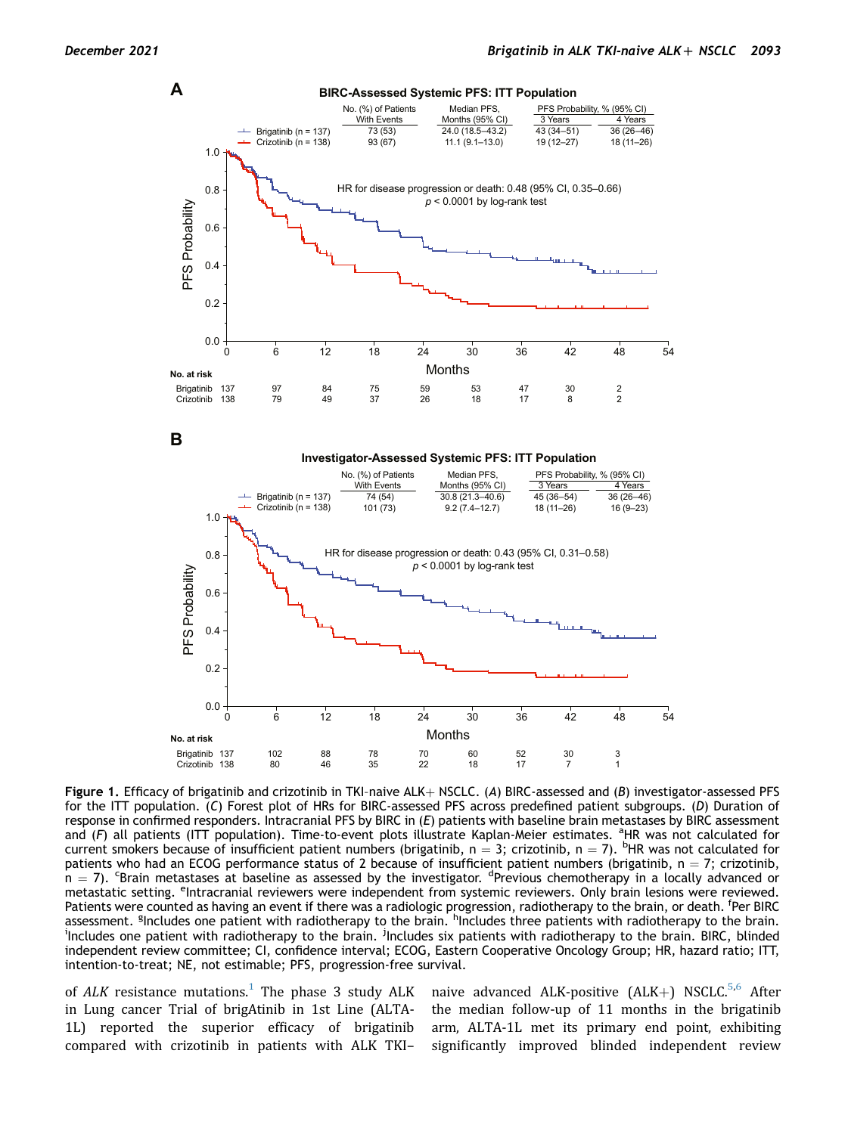<span id="page-2-0"></span>

**B**

**Investigator-Assessed Systemic PFS: ITT Population**



Figure 1. Efficacy of brigatinib and crizotinib in TKI-naive ALK $+$  NSCLC. (A) BIRC-assessed and (B) investigator-assessed PFS for the ITT population. (C) Forest plot of HRs for BIRC-assessed PFS across predefined patient subgroups. (D) Duration of response in confirmed responders. Intracranial PFS by BIRC in (E) patients with baseline brain metastases by BIRC assessment and (F) all patients (ITT population). Time-to-event plots illustrate Kaplan-Meier estimates. <sup>a</sup>HR was not calculated for current smokers because of insufficient patient numbers (brigatinib,  $n = 3$ ; crizotinib,  $n = 7$ ). <sup>b</sup>HR was not calculated for patients who had an ECOG performance status of 2 because of insufficient patient numbers (brigatinib,  $n = 7$ ; crizotinib,  $n = 7$ ). <sup>c</sup>Brain metastases at baseline as assessed by the investigator. <sup>d</sup>Previous chemotherapy in a locally advanced or metastatic setting. <sup>e</sup>Intracranial reviewers were independent from systemic reviewers. Only brain lesions were reviewed. Patients were counted as having an event if there was a radiologic progression, radiotherapy to the brain, or death. <sup>f</sup>Per BIRC assessment. <sup>g</sup>includes one patient with radiotherapy to the brain. <sup>h</sup>includes three patients with radiotherapy to the brain.<br><sup>Includes one patient with radiotherapy to the brain. <sup>I</sup>ncludes six patients with radiotherapy</sup> Includes one patient with radiotherapy to the brain. <sup>j</sup>Includes six patients with radiotherapy to the brain. BIRC, blinded independent review committee; CI, confidence interval; ECOG, Eastern Cooperative Oncology Group; HR, hazard ratio; ITT, intention-to-treat; NE, not estimable; PFS, progression-free survival.

of ALK resistance mutations.<sup>[1](#page-16-0)</sup> The phase 3 study ALK in Lung cancer Trial of brigAtinib in 1st Line (ALTA-1L) reported the superior efficacy of brigatinib compared with crizotinib in patients with ALK TKI–

naive advanced ALK-positive  $(ALK+)$  NSCLC.<sup>[5](#page-16-1),[6](#page-16-2)</sup> After the median follow-up of 11 months in the brigatinib arm, ALTA-1L met its primary end point, exhibiting significantly improved blinded independent review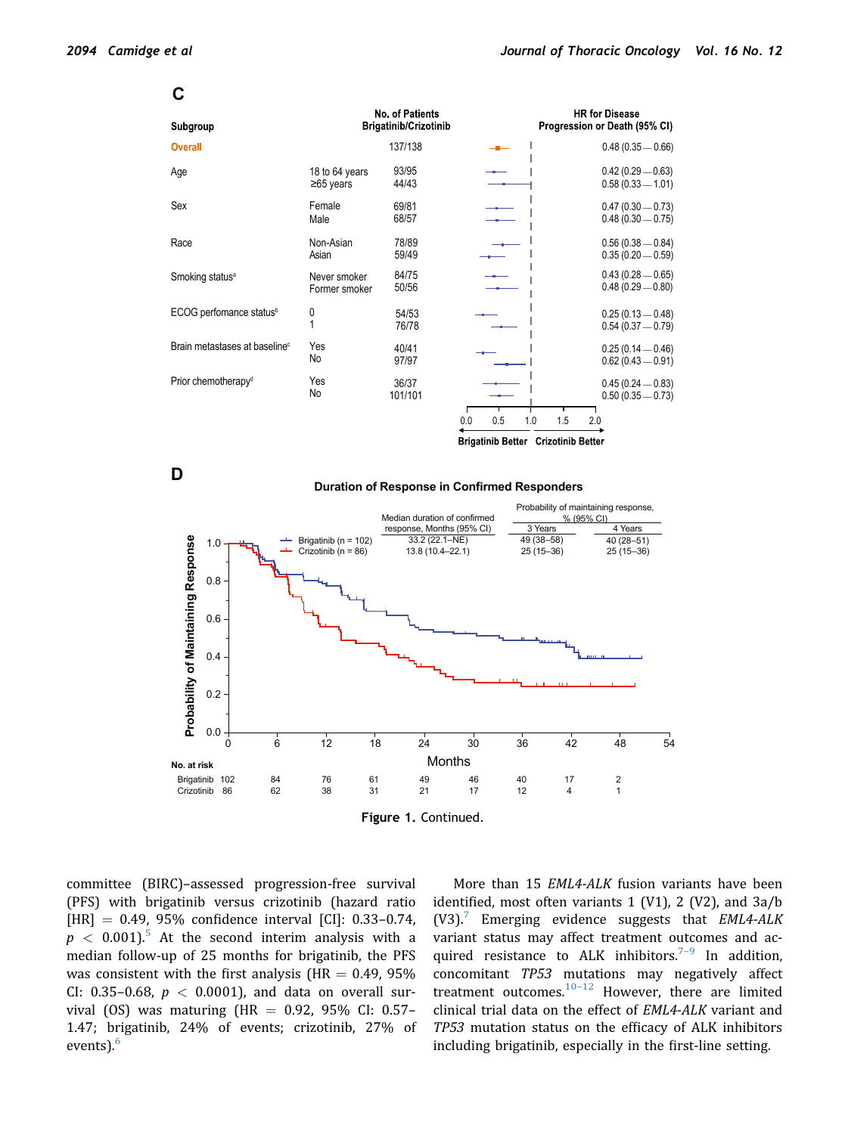| Subgroup                                  | No. of Patients<br>Brigatinib/Crizotinib |                  |                   | <b>HR for Disease</b><br>Progression or Death (95% CI) |  |
|-------------------------------------------|------------------------------------------|------------------|-------------------|--------------------------------------------------------|--|
| <b>Overall</b>                            |                                          | 137/138          |                   | $0.48(0.35 - 0.66)$                                    |  |
| Age                                       | 18 to 64 years<br>$≥65$ years            | 93/95<br>44/43   |                   | $0.42(0.29 - 0.63)$<br>$0.58(0.33 - 1.01)$             |  |
| Sex                                       | Female<br>Male                           | 69/81<br>68/57   |                   | $0.47(0.30 - 0.73)$<br>$0.48(0.30 - 0.75)$             |  |
| Race                                      | Non-Asian<br>Asian                       | 78/89<br>59/49   |                   | $0.56(0.38 - 0.84)$<br>$0.35(0.20 - 0.59)$             |  |
| Smoking status <sup>a</sup>               | Never smoker<br>Former smoker            | 84/75<br>50/56   |                   | $0.43(0.28 - 0.65)$<br>$0.48(0.29 - 0.80)$             |  |
| ECOG perfomance status <sup>b</sup>       | 0                                        | 54/53<br>76/78   |                   | $0.25(0.13 - 0.48)$<br>$0.54(0.37 - 0.79)$             |  |
| Brain metastases at baseline <sup>c</sup> | Yes<br>No                                | 40/41<br>97/97   |                   | $0.25(0.14 - 0.46)$<br>$0.62(0.43 - 0.91)$             |  |
| Prior chemotherapy <sup>d</sup>           | Yes<br>No                                | 36/37<br>101/101 |                   | $0.45(0.24 - 0.83)$<br>$0.50(0.35 - 0.73)$             |  |
|                                           |                                          |                  | 1.0<br>0.0<br>0.5 | 2.0<br>1.5                                             |  |

Brigatinib Better Crizotinib Better

**D**

#### **Duration of Response in Confirmed Responders**



Figure 1. Continued.

committee (BIRC)–assessed progression-free survival (PFS) with brigatinib versus crizotinib (hazard ratio  $[HR] = 0.49, 95\%$  confidence interval  $[CI]: 0.33-0.74$ ,  $p < 0.001$ .<sup>[5](#page-16-1)</sup> At the second interim analysis with a median follow-up of 25 months for brigatinib, the PFS was consistent with the first analysis (HR  $= 0.49, 95\%$ CI: 0.35-0.68,  $p < 0.0001$ ), and data on overall survival (OS) was maturing (HR = 0.92, 95% CI: 0.57– 1.47; brigatinib, 24% of events; crizotinib, 27% of events).<sup>[6](#page-16-2)</sup>

More than 15 EML4-ALK fusion variants have been identified, most often variants 1 (V1), 2 (V2), and 3a/b  $(V3)$ . Emerging evidence suggests that *EML4-ALK* variant status may affect treatment outcomes and acquired resistance to ALK inhibitors. $7-9$  $7-9$  In addition, concomitant TP53 mutations may negatively affect treatment outcomes. $10-12$  $10-12$  However, there are limited clinical trial data on the effect of EML4-ALK variant and TP53 mutation status on the efficacy of ALK inhibitors including brigatinib, especially in the first-line setting.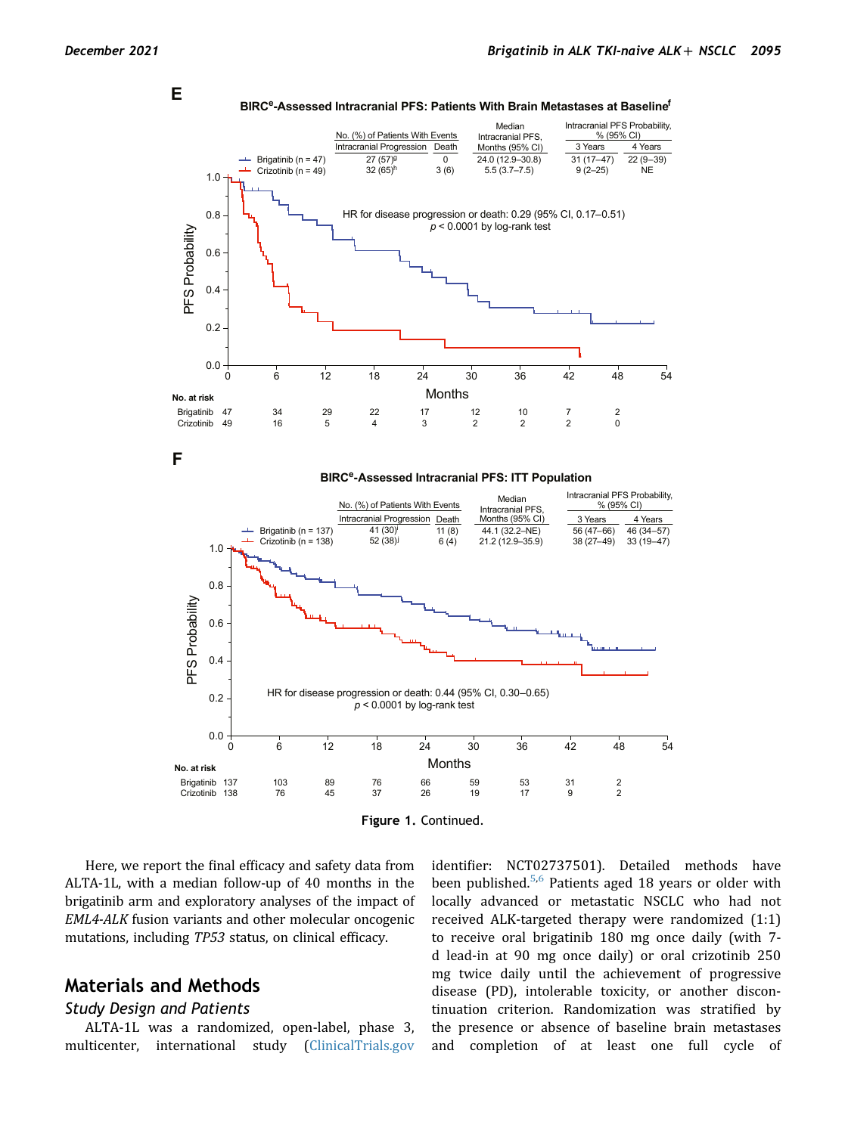

#### **BIRCe-Assessed Intracranial PFS: Patients With Brain Metastases at Baselinef**



**F**

**BIRCe-Assessed Intracranial PFS: ITT Population**



Figure 1. Continued.

Here, we report the final efficacy and safety data from ALTA-1L, with a median follow-up of 40 months in the brigatinib arm and exploratory analyses of the impact of EML4-ALK fusion variants and other molecular oncogenic mutations, including TP53 status, on clinical efficacy.

# Materials and Methods

#### Study Design and Patients

ALTA-1L was a randomized, open-label, phase 3, multicenter, international study [\(ClinicalTrials.gov](http://ClinicalTrials.gov) identifier: NCT02737501). Detailed methods have been published. $5.6$  $5.6$  Patients aged 18 years or older with locally advanced or metastatic NSCLC who had not received ALK-targeted therapy were randomized (1:1) to receive oral brigatinib 180 mg once daily (with 7 d lead-in at 90 mg once daily) or oral crizotinib 250 mg twice daily until the achievement of progressive disease (PD), intolerable toxicity, or another discontinuation criterion. Randomization was stratified by the presence or absence of baseline brain metastases and completion of at least one full cycle of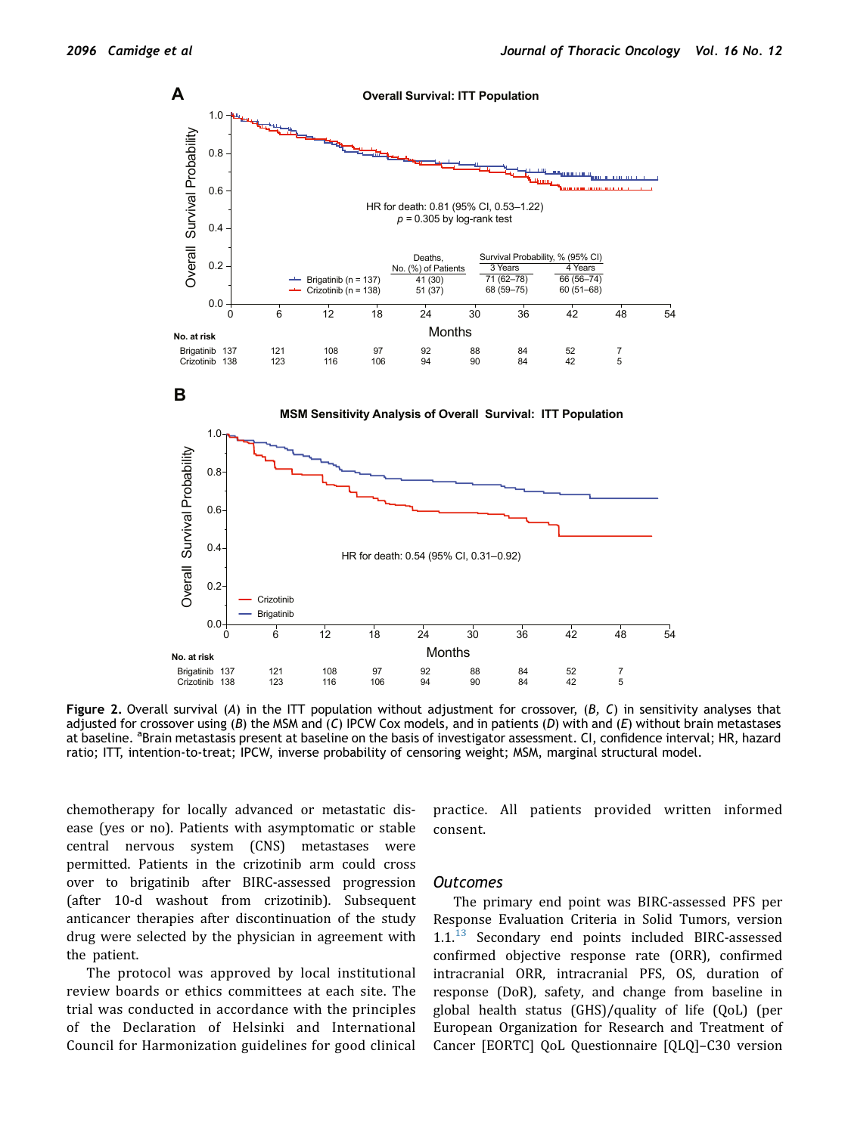<span id="page-5-0"></span>

Figure 2. Overall survival (A) in the ITT population without adjustment for crossover,  $(B, C)$  in sensitivity analyses that adjusted for crossover using (B) the MSM and (C) IPCW Cox models, and in patients (D) with and (E) without brain metastases at baseline. <sup>a</sup>Brain metastasis present at baseline on the basis of investigator assessment. CI, confidence interval; HR, hazard ratio; ITT, intention-to-treat; IPCW, inverse probability of censoring weight; MSM, marginal structural model.

chemotherapy for locally advanced or metastatic disease (yes or no). Patients with asymptomatic or stable central nervous system (CNS) metastases were permitted. Patients in the crizotinib arm could cross over to brigatinib after BIRC-assessed progression (after 10-d washout from crizotinib). Subsequent anticancer therapies after discontinuation of the study drug were selected by the physician in agreement with the patient.

The protocol was approved by local institutional review boards or ethics committees at each site. The trial was conducted in accordance with the principles of the Declaration of Helsinki and International Council for Harmonization guidelines for good clinical

practice. All patients provided written informed consent.

#### **Outcomes**

The primary end point was BIRC-assessed PFS per Response Evaluation Criteria in Solid Tumors, version 1.1.<sup>[13](#page-17-0)</sup> Secondary end points included BIRC-assessed confirmed objective response rate (ORR), confirmed intracranial ORR, intracranial PFS, OS, duration of response (DoR), safety, and change from baseline in global health status (GHS)/quality of life (QoL) (per European Organization for Research and Treatment of Cancer [EORTC] QoL Questionnaire [QLQ]–C30 version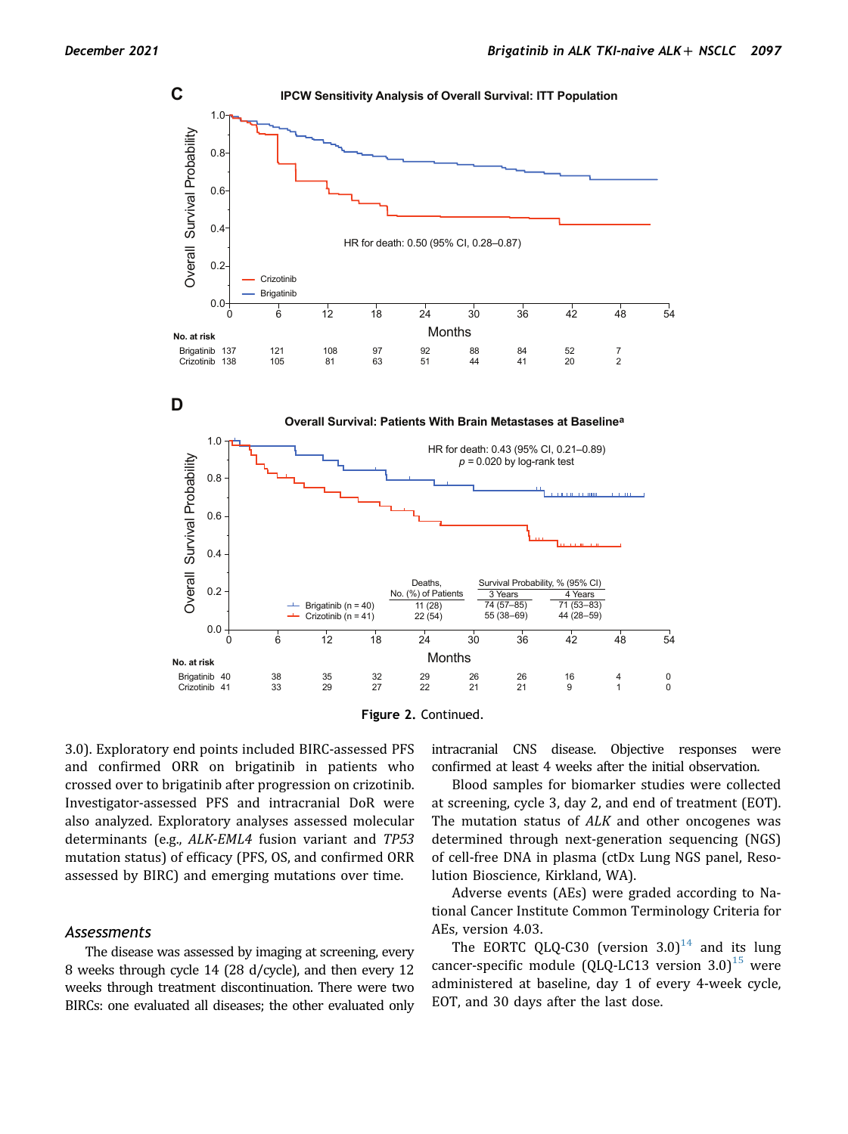

Figure 2. Continued.

3.0). Exploratory end points included BIRC-assessed PFS and confirmed ORR on brigatinib in patients who crossed over to brigatinib after progression on crizotinib. Investigator-assessed PFS and intracranial DoR were also analyzed. Exploratory analyses assessed molecular determinants (e.g., ALK-EML4 fusion variant and TP53 mutation status) of efficacy (PFS, OS, and confirmed ORR assessed by BIRC) and emerging mutations over time.

#### **Assessments**

The disease was assessed by imaging at screening, every 8 weeks through cycle 14 (28 d/cycle), and then every 12 weeks through treatment discontinuation. There were two BIRCs: one evaluated all diseases; the other evaluated only intracranial CNS disease. Objective responses were confirmed at least 4 weeks after the initial observation.

Blood samples for biomarker studies were collected at screening, cycle 3, day 2, and end of treatment (EOT). The mutation status of ALK and other oncogenes was determined through next-generation sequencing (NGS) of cell-free DNA in plasma (ctDx Lung NGS panel, Resolution Bioscience, Kirkland, WA).

Adverse events (AEs) were graded according to National Cancer Institute Common Terminology Criteria for AEs, version 4.03.

The EORTC QLQ-C30 (version  $3.0$ )<sup>[14](#page-17-1)</sup> and its lung cancer-specific module (QLQ-LC13 version  $3.0$ )<sup>[15](#page-17-2)</sup> were administered at baseline, day 1 of every 4-week cycle, EOT, and 30 days after the last dose.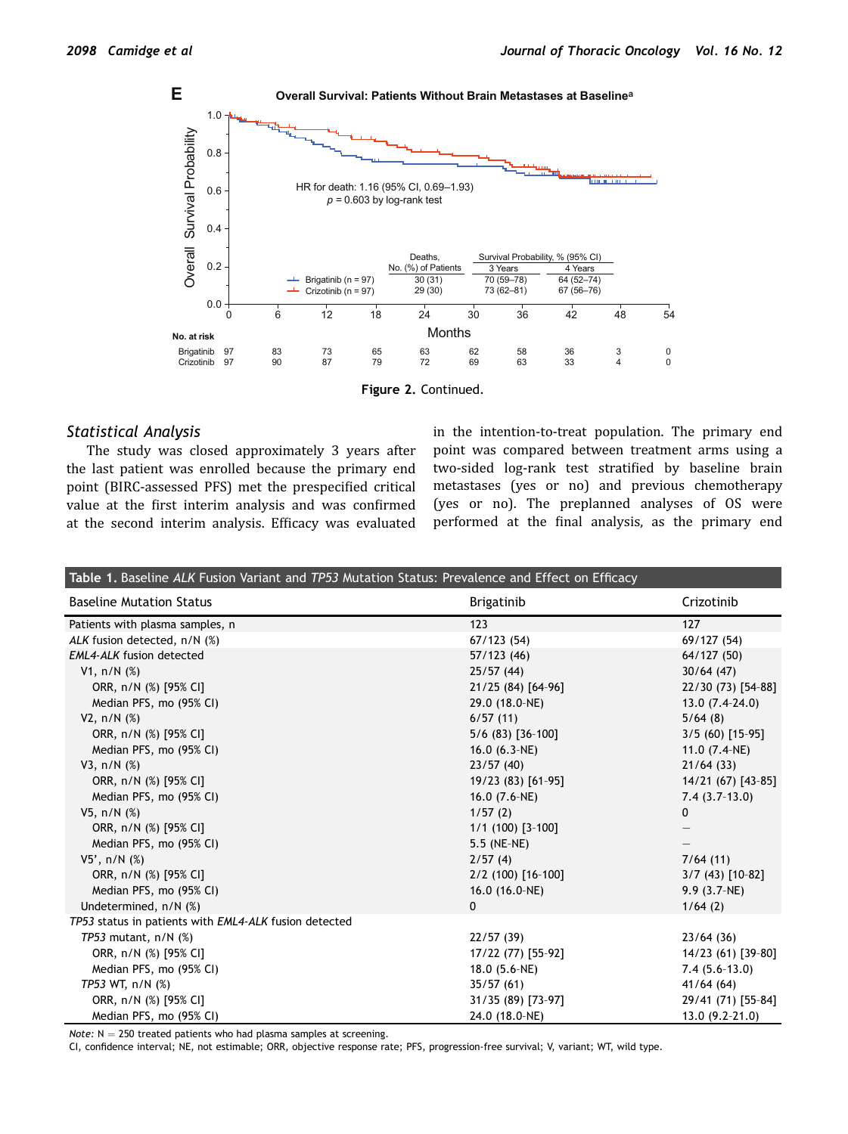

Figure 2. Continued.

#### Statistical Analysis

The study was closed approximately 3 years after the last patient was enrolled because the primary end point (BIRC-assessed PFS) met the prespecified critical value at the first interim analysis and was confirmed at the second interim analysis. Efficacy was evaluated

in the intention-to-treat population. The primary end point was compared between treatment arms using a two-sided log-rank test stratified by baseline brain metastases (yes or no) and previous chemotherapy (yes or no). The preplanned analyses of OS were performed at the final analysis, as the primary end

<span id="page-7-0"></span>

| Table 1. Baseline ALK Fusion Variant and TP53 Mutation Status: Prevalence and Effect on Efficacy |                     |                    |  |
|--------------------------------------------------------------------------------------------------|---------------------|--------------------|--|
| <b>Baseline Mutation Status</b>                                                                  | <b>Brigatinib</b>   | Crizotinib         |  |
| Patients with plasma samples, n                                                                  | 123                 | 127                |  |
| ALK fusion detected, n/N (%)                                                                     | 67/123(54)          | 69/127 (54)        |  |
| <b>EML4-ALK</b> fusion detected                                                                  | 57/123 (46)         | 64/127 (50)        |  |
| $V1, n/N$ (%)                                                                                    | 25/57(44)           | 30/64(47)          |  |
| ORR, n/N (%) [95% CI]                                                                            | 21/25 (84) [64-96]  | 22/30 (73) [54-88] |  |
| Median PFS, mo (95% CI)                                                                          | 29.0 (18.0-NE)      | $13.0(7.4-24.0)$   |  |
| V2, n/N (%)                                                                                      | 6/57(11)            | 5/64(8)            |  |
| ORR, n/N (%) [95% CI]                                                                            | $5/6$ (83) [36-100] | $3/5(60)$ [15-95]  |  |
| Median PFS, mo (95% CI)                                                                          | 16.0 $(6.3-NE)$     | 11.0 $(7.4-NE)$    |  |
| $V3, n/N$ (%)                                                                                    | 23/57(40)           | 21/64(33)          |  |
| ORR, n/N (%) [95% CI]                                                                            | 19/23 (83) [61-95]  | 14/21 (67) [43-85] |  |
| Median PFS, mo (95% CI)                                                                          | 16.0 $(7.6-NE)$     | $7.4(3.7-13.0)$    |  |
| $V5, n/N$ (%)                                                                                    | 1/57(2)             | 0                  |  |
| ORR, n/N (%) [95% CI]                                                                            | $1/1$ (100) [3-100] |                    |  |
| Median PFS, mo (95% CI)                                                                          | 5.5 (NE-NE)         |                    |  |
| $V5'$ , n/N $(\%)$                                                                               | 2/57(4)             | 7/64(11)           |  |
| ORR, n/N (%) [95% CI]                                                                            | 2/2 (100) [16-100]  | $3/7$ (43) [10-82] |  |
| Median PFS, mo (95% CI)                                                                          | 16.0 $(16.0-NE)$    | $9.9(3.7-NE)$      |  |
| Undetermined, n/N (%)                                                                            | $\mathbf{0}$        | 1/64(2)            |  |
| TP53 status in patients with EML4-ALK fusion detected                                            |                     |                    |  |
| TP53 mutant, $n/N$ (%)                                                                           | 22/57 (39)          | 23/64(36)          |  |
| ORR, n/N (%) [95% CI]                                                                            | 17/22 (77) [55-92]  | 14/23 (61) [39-80] |  |
| Median PFS, mo (95% CI)                                                                          | 18.0 (5.6-NE)       | $7.4(5.6-13.0)$    |  |
| TP53 WT, n/N (%)                                                                                 | 35/57(61)           | 41/64(64)          |  |
| ORR, n/N (%) [95% CI]                                                                            | 31/35 (89) [73-97]  | 29/41 (71) [55-84] |  |
| Median PFS, mo (95% CI)                                                                          | 24.0 (18.0-NE)      | $13.0(9.2-21.0)$   |  |

Note:  $N = 250$  treated patients who had plasma samples at screening.

CI, confidence interval; NE, not estimable; ORR, objective response rate; PFS, progression-free survival; V, variant; WT, wild type.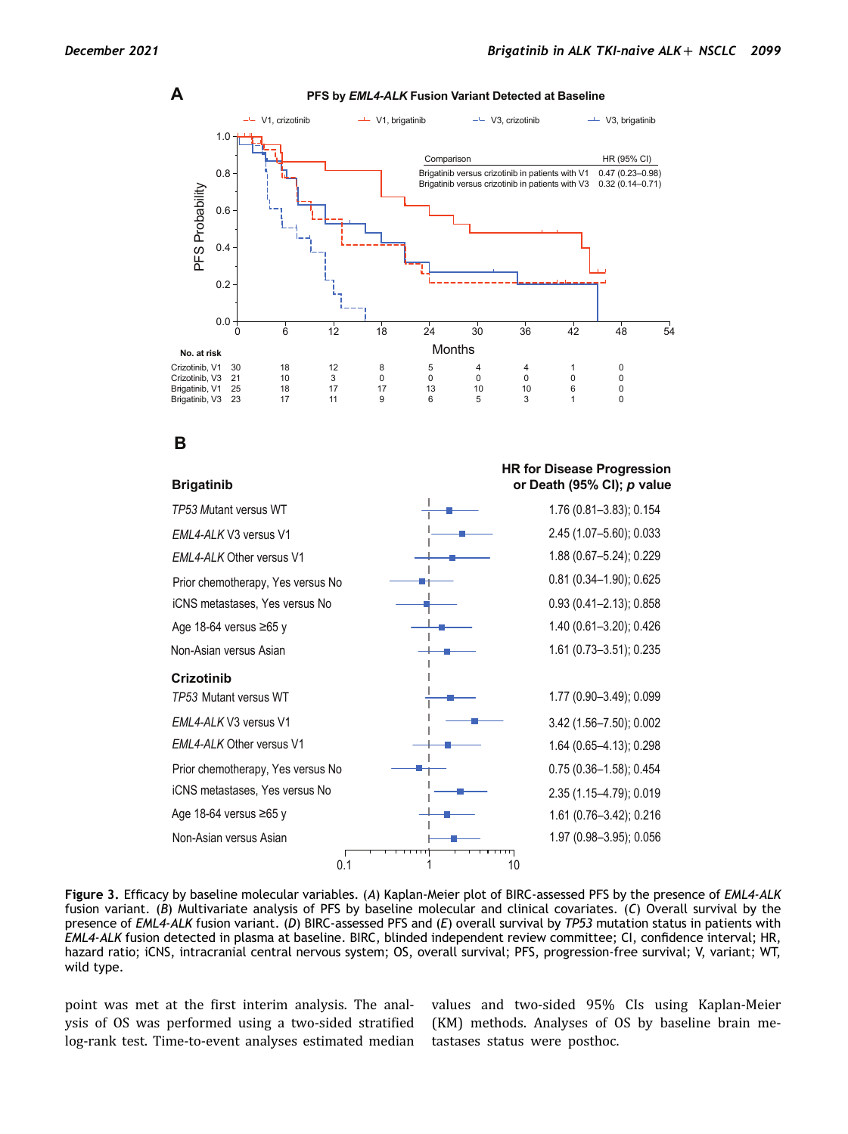### <span id="page-8-0"></span>**A**

#### **PFS by** *EML4-ALK* **Fusion Variant Detected at Baseline**



**B**



Figure 3. Efficacy by baseline molecular variables. (A) Kaplan-Meier plot of BIRC-assessed PFS by the presence of EML4-ALK fusion variant. (B) Multivariate analysis of PFS by baseline molecular and clinical covariates. (C) Overall survival by the presence of EML4-ALK fusion variant. (D) BIRC-assessed PFS and (E) overall survival by TP53 mutation status in patients with EML4-ALK fusion detected in plasma at baseline. BIRC, blinded independent review committee; CI, confidence interval; HR, hazard ratio; iCNS, intracranial central nervous system; OS, overall survival; PFS, progression-free survival; V, variant; WT, wild type.

point was met at the first interim analysis. The analysis of OS was performed using a two-sided stratified log-rank test. Time-to-event analyses estimated median

values and two-sided 95% CIs using Kaplan-Meier (KM) methods. Analyses of OS by baseline brain metastases status were posthoc.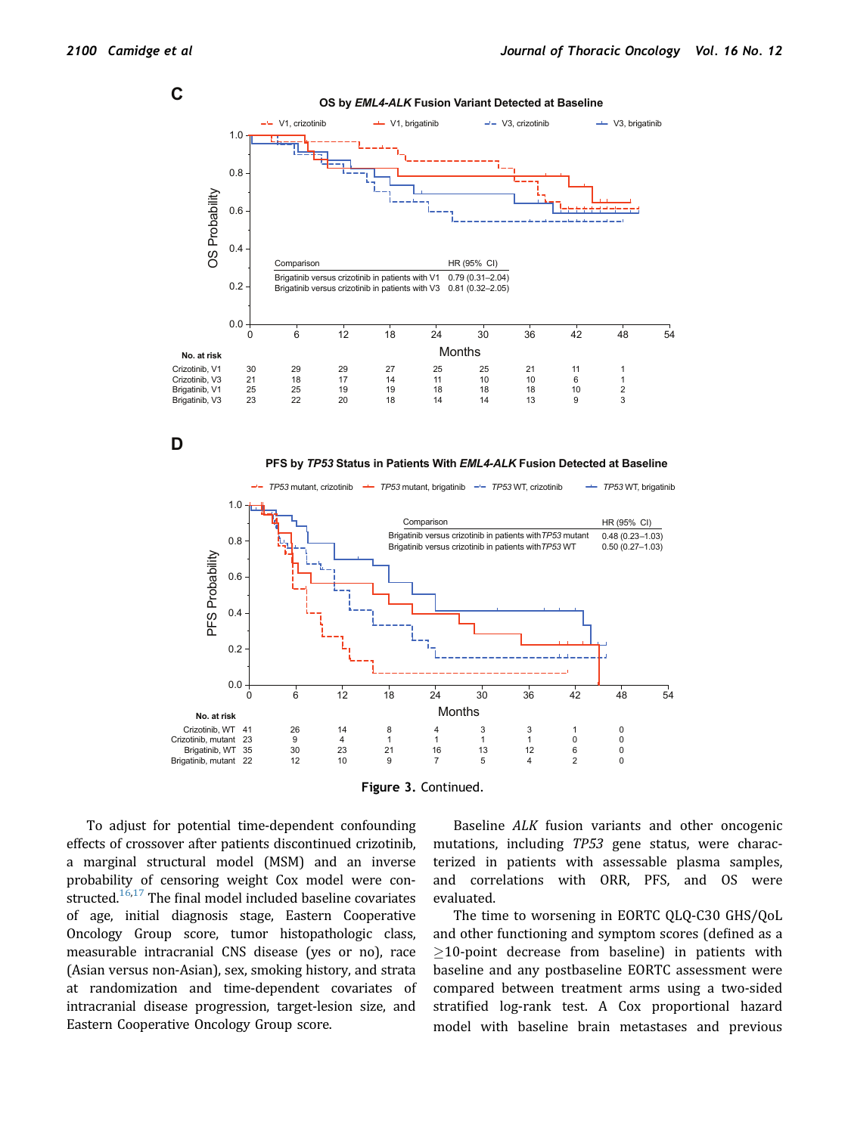

**D**

**PFS by** *TP53* **Status in Patients With** *EML4-ALK* **Fusion Detected at Baseline**





To adjust for potential time-dependent confounding effects of crossover after patients discontinued crizotinib, a marginal structural model (MSM) and an inverse probability of censoring weight Cox model were constructed. $16,17$  $16,17$  The final model included baseline covariates of age, initial diagnosis stage, Eastern Cooperative Oncology Group score, tumor histopathologic class, measurable intracranial CNS disease (yes or no), race (Asian versus non-Asian), sex, smoking history, and strata at randomization and time-dependent covariates of intracranial disease progression, target-lesion size, and Eastern Cooperative Oncology Group score.

Baseline ALK fusion variants and other oncogenic mutations, including TP53 gene status, were characterized in patients with assessable plasma samples, and correlations with ORR, PFS, and OS were evaluated.

The time to worsening in EORTC QLQ-C30 GHS/QoL and other functioning and symptom scores (defined as a  $\geq$ 10-point decrease from baseline) in patients with baseline and any postbaseline EORTC assessment were compared between treatment arms using a two-sided stratified log-rank test. A Cox proportional hazard model with baseline brain metastases and previous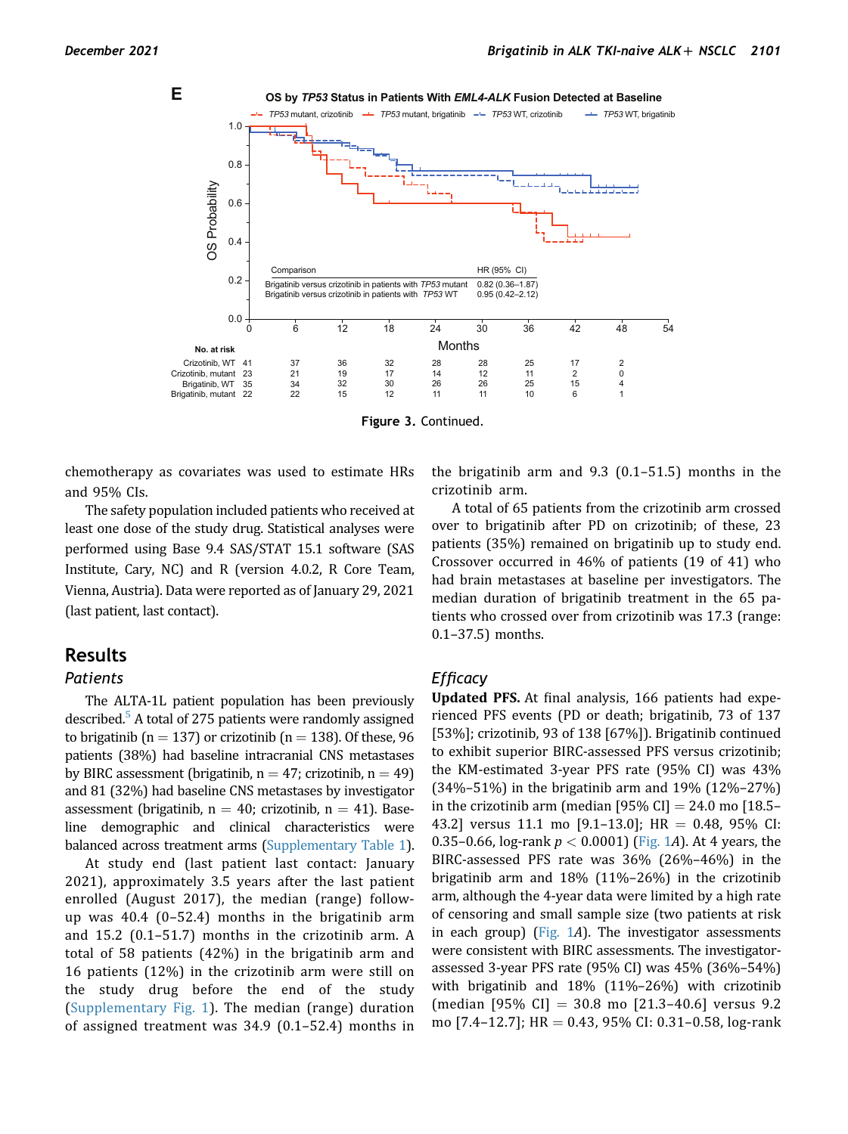

Figure 3. Continued.

chemotherapy as covariates was used to estimate HRs and 95% CIs.

The safety population included patients who received at least one dose of the study drug. Statistical analyses were performed using Base 9.4 SAS/STAT 15.1 software (SAS Institute, Cary, NC) and R (version 4.0.2, R Core Team, Vienna, Austria). Data were reported as of January 29, 2021 (last patient, last contact).

### Results

### Patients

The ALTA-1L patient population has been previously described.<sup>5</sup> A total of 275 patients were randomly assigned to brigatinib (n = 137) or crizotinib (n = 138). Of these, 96 patients (38%) had baseline intracranial CNS metastases by BIRC assessment (brigatinib,  $n = 47$ ; crizotinib,  $n = 49$ ) and 81 (32%) had baseline CNS metastases by investigator assessment (brigatinib,  $n = 40$ ; crizotinib,  $n = 41$ ). Baseline demographic and clinical characteristics were balanced across treatment arms (Supplementary Table 1).

At study end (last patient last contact: January 2021), approximately 3.5 years after the last patient enrolled (August 2017), the median (range) followup was 40.4 (0–52.4) months in the brigatinib arm and 15.2 (0.1–51.7) months in the crizotinib arm. A total of 58 patients (42%) in the brigatinib arm and 16 patients (12%) in the crizotinib arm were still on the study drug before the end of the study (Supplementary Fig. 1). The median (range) duration of assigned treatment was 34.9 (0.1–52.4) months in

the brigatinib arm and 9.3 (0.1–51.5) months in the crizotinib arm.

A total of 65 patients from the crizotinib arm crossed over to brigatinib after PD on crizotinib; of these, 23 patients (35%) remained on brigatinib up to study end. Crossover occurred in 46% of patients (19 of 41) who had brain metastases at baseline per investigators. The median duration of brigatinib treatment in the 65 patients who crossed over from crizotinib was 17.3 (range: 0.1–37.5) months.

### **Efficacy**

Updated PFS. At final analysis, 166 patients had experienced PFS events (PD or death; brigatinib, 73 of 137 [53%]; crizotinib, 93 of 138 [67%]). Brigatinib continued to exhibit superior BIRC-assessed PFS versus crizotinib; the KM-estimated 3-year PFS rate (95% CI) was 43% (34%–51%) in the brigatinib arm and 19% (12%–27%) in the crizotinib arm (median  $[95\% \text{ CI}] = 24.0 \text{ mo} [18.5-$ 43.2] versus 11.1 mo  $[9.1-13.0]$ ; HR = 0.48, 95% CI: 0.35–0.66, log-rank  $p < 0.0001$ ) ([Fig. 1](#page-2-0)A). At 4 years, the BIRC-assessed PFS rate was 36% (26%–46%) in the brigatinib arm and 18% (11%–26%) in the crizotinib arm, although the 4-year data were limited by a high rate of censoring and small sample size (two patients at risk in each group) (Fig.  $1A$ ). The investigator assessments were consistent with BIRC assessments. The investigatorassessed 3-year PFS rate (95% CI) was 45% (36%–54%) with brigatinib and 18% (11%–26%) with crizotinib (median [95% CI] = 30.8 mo [21.3-40.6] versus 9.2 mo [7.4–12.7]; HR ¼ 0.43, 95% CI: 0.31–0.58, log-rank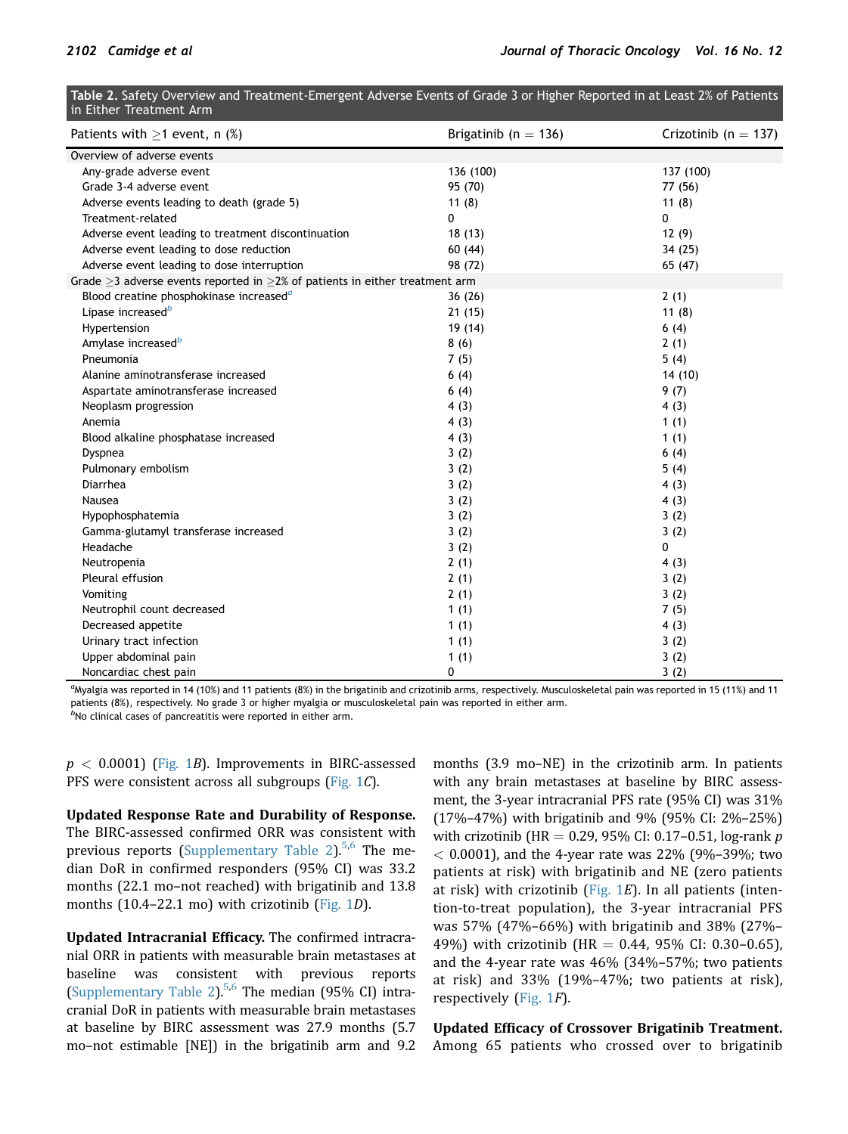<span id="page-11-2"></span>

| Table 2. Safety Overview and Treatment-Emergent Adverse Events of Grade 3 or Higher Reported in at Least 2% of Patients |  |  |  |
|-------------------------------------------------------------------------------------------------------------------------|--|--|--|
| in Either Treatment Arm                                                                                                 |  |  |  |

| Patients with $\geq$ 1 event, n (%)                                                     | Brigatinib ( $n = 136$ ) | Crizotinib ( $n = 137$ ) |
|-----------------------------------------------------------------------------------------|--------------------------|--------------------------|
| Overview of adverse events                                                              |                          |                          |
| Any-grade adverse event                                                                 | 136 (100)                | 137 (100)                |
| Grade 3-4 adverse event                                                                 | 95 (70)                  | 77 (56)                  |
| Adverse events leading to death (grade 5)                                               | 11(8)                    | 11(8)                    |
| Treatment-related                                                                       | 0                        | 0                        |
| Adverse event leading to treatment discontinuation                                      | 18(13)                   | 12(9)                    |
| Adverse event leading to dose reduction                                                 | 60(44)                   | 34(25)                   |
| Adverse event leading to dose interruption                                              | 98 (72)                  | 65 (47)                  |
| Grade $\geq$ 3 adverse events reported in $\geq$ 2% of patients in either treatment arm |                          |                          |
| Blood creatine phosphokinase increased <sup>a</sup>                                     | 36(26)                   | 2(1)                     |
| Lipase increased <sup>b</sup>                                                           | 21(15)                   | 11(8)                    |
| Hypertension                                                                            | 19 (14)                  | 6(4)                     |
| Amylase increased <sup>b</sup>                                                          | 8(6)                     | 2(1)                     |
| Pneumonia                                                                               | 7(5)                     | 5(4)                     |
| Alanine aminotransferase increased                                                      | 6(4)                     | 14(10)                   |
| Aspartate aminotransferase increased                                                    | 6(4)                     | 9(7)                     |
| Neoplasm progression                                                                    | 4(3)                     | 4(3)                     |
| Anemia                                                                                  | 4(3)                     | 1(1)                     |
| Blood alkaline phosphatase increased                                                    | 4(3)                     | 1(1)                     |
| Dyspnea                                                                                 | 3(2)                     | 6(4)                     |
| Pulmonary embolism                                                                      | 3(2)                     | 5(4)                     |
| Diarrhea                                                                                | 3(2)                     | 4(3)                     |
| Nausea                                                                                  | 3(2)                     | 4(3)                     |
| Hypophosphatemia                                                                        | 3(2)                     | 3(2)                     |
| Gamma-glutamyl transferase increased                                                    | 3(2)                     | 3(2)                     |
| Headache                                                                                | 3(2)                     | 0                        |
| Neutropenia                                                                             | 2(1)                     | 4(3)                     |
| Pleural effusion                                                                        | 2(1)                     | 3(2)                     |
| Vomiting                                                                                | 2(1)                     | 3(2)                     |
| Neutrophil count decreased                                                              | 1(1)                     | 7(5)                     |
| Decreased appetite                                                                      | 1(1)                     | 4(3)                     |
| Urinary tract infection                                                                 | 1(1)                     | 3(2)                     |
| Upper abdominal pain                                                                    | 1(1)                     | 3(2)                     |
| Noncardiac chest pain                                                                   | 0                        | 3(2)                     |

<span id="page-11-0"></span> $^a$ Myalgia was reported in 14 (10%) and 11 patients (8%) in the brigatinib and crizotinib arms, respectively. Musculoskeletal pain was reported in 15 (11%) and 11 patients (8%), respectively. No grade 3 or higher myalgia or musculoskeletal pain was reported in either arm.  $b$ No clinical cases of pancreatitis were reported in either arm.

<span id="page-11-1"></span>

 $p < 0.0001$ ) ([Fig. 1](#page-2-0)B). Improvements in BIRC-assessed PFS were consistent across all subgroups ([Fig. 1](#page-2-0)C).

Updated Response Rate and Durability of Response. The BIRC-assessed confirmed ORR was consistent with previous reports (Supplementary Table 2).<sup>[5](#page-16-1)[,6](#page-16-2)</sup> The median DoR in confirmed responders (95% CI) was 33.2 months (22.1 mo–not reached) with brigatinib and 13.8 months (10.4–22.1 mo) with crizotinib [\(Fig. 1](#page-2-0)D).

Updated Intracranial Efficacy. The confirmed intracranial ORR in patients with measurable brain metastases at baseline was consistent with previous reports (Supplementary Table 2). $5,6$  $5,6$  The median (95% CI) intracranial DoR in patients with measurable brain metastases at baseline by BIRC assessment was 27.9 months (5.7 mo–not estimable [NE]) in the brigatinib arm and 9.2

months (3.9 mo–NE) in the crizotinib arm. In patients with any brain metastases at baseline by BIRC assessment, the 3-year intracranial PFS rate (95% CI) was 31% (17%–47%) with brigatinib and 9% (95% CI: 2%–25%) with crizotinib (HR = 0.29, 95% CI: 0.17-0.51, log-rank  $p$  $<$  0.0001), and the 4-year rate was 22% (9%–39%; two patients at risk) with brigatinib and NE (zero patients at risk) with crizotinib (Fig.  $1E$ ). In all patients (intention-to-treat population), the 3-year intracranial PFS was 57% (47%–66%) with brigatinib and 38% (27%– 49%) with crizotinib (HR = 0.44, 95% CI: 0.30-0.65), and the 4-year rate was 46% (34%–57%; two patients at risk) and 33% (19%–47%; two patients at risk), respectively [\(Fig. 1](#page-2-0)F).

#### Updated Efficacy of Crossover Brigatinib Treatment. Among 65 patients who crossed over to brigatinib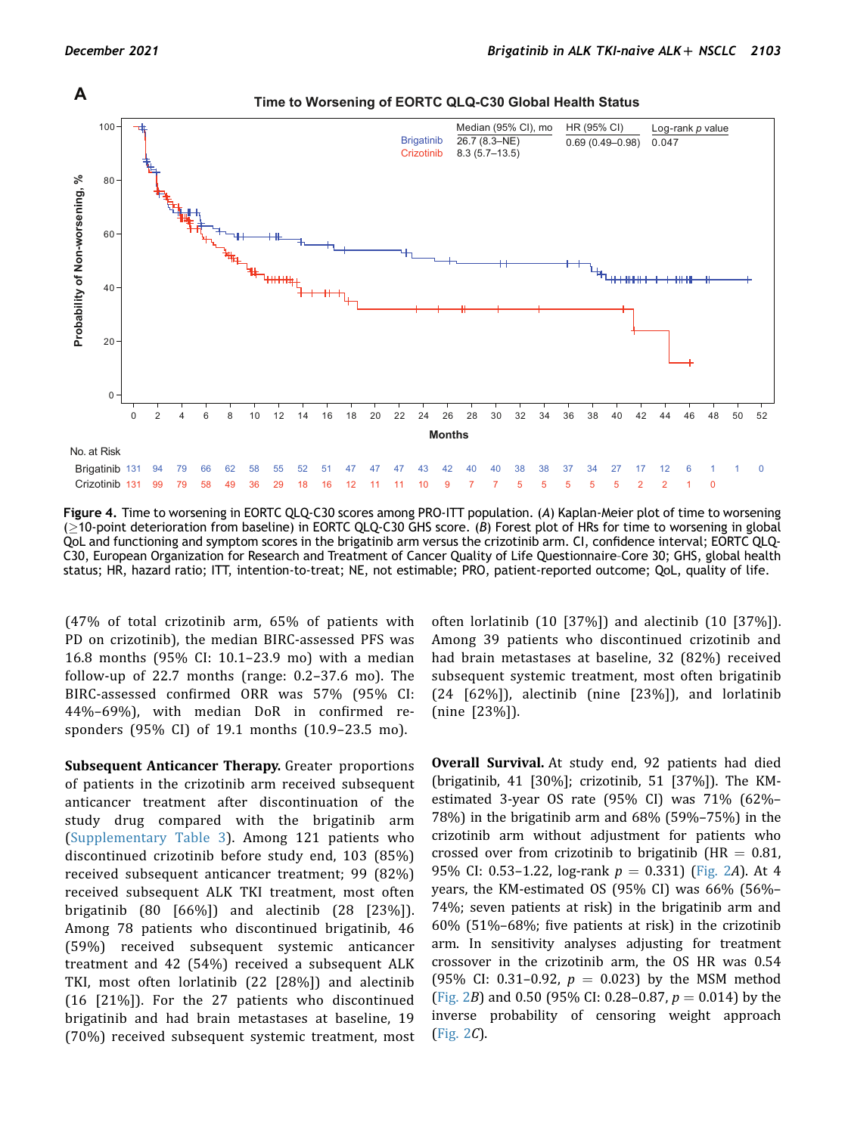<span id="page-12-0"></span>

Figure 4. Time to worsening in EORTC QLQ-C30 scores among PRO-ITT population. (A) Kaplan-Meier plot of time to worsening  $( \geq 10$ -point deterioration from baseline) in EORTC QLQ-C30 GHS score. (B) Forest plot of HRs for time to worsening in global QoL and functioning and symptom scores in the brigatinib arm versus the crizotinib arm. CI, confidence interval; EORTC QLQ-C30, European Organization for Research and Treatment of Cancer Quality of Life Questionnaire–Core 30; GHS, global health status; HR, hazard ratio; ITT, intention-to-treat; NE, not estimable; PRO, patient-reported outcome; QoL, quality of life.

(47% of total crizotinib arm, 65% of patients with PD on crizotinib), the median BIRC-assessed PFS was 16.8 months (95% CI: 10.1–23.9 mo) with a median follow-up of 22.7 months (range: 0.2–37.6 mo). The BIRC-assessed confirmed ORR was 57% (95% CI: 44%–69%), with median DoR in confirmed responders (95% CI) of 19.1 months (10.9–23.5 mo).

Subsequent Anticancer Therapy. Greater proportions of patients in the crizotinib arm received subsequent anticancer treatment after discontinuation of the study drug compared with the brigatinib arm (Supplementary Table 3). Among 121 patients who discontinued crizotinib before study end, 103 (85%) received subsequent anticancer treatment; 99 (82%) received subsequent ALK TKI treatment, most often brigatinib (80 [66%]) and alectinib (28 [23%]). Among 78 patients who discontinued brigatinib, 46 (59%) received subsequent systemic anticancer treatment and 42 (54%) received a subsequent ALK TKI, most often lorlatinib (22 [28%]) and alectinib (16 [21%]). For the 27 patients who discontinued brigatinib and had brain metastases at baseline, 19 (70%) received subsequent systemic treatment, most

often lorlatinib (10 [37%]) and alectinib (10 [37%]). Among 39 patients who discontinued crizotinib and had brain metastases at baseline, 32 (82%) received subsequent systemic treatment, most often brigatinib  $(24 \, 62\%)$ , alectinib (nine  $[23\%]$ ), and lorlatinib (nine [23%]).

Overall Survival. At study end, 92 patients had died (brigatinib, 41 [30%]; crizotinib, 51 [37%]). The KMestimated 3-year OS rate (95% CI) was 71% (62%– 78%) in the brigatinib arm and 68% (59%–75%) in the crizotinib arm without adjustment for patients who crossed over from crizotinib to brigatinib (HR  $= 0.81$ , 95% CI: 0.53-1.22, log-rank  $p = 0.331$ ) [\(Fig. 2](#page-5-0)A). At 4 years, the KM-estimated OS (95% CI) was 66% (56%– 74%; seven patients at risk) in the brigatinib arm and 60% (51%–68%; five patients at risk) in the crizotinib arm. In sensitivity analyses adjusting for treatment crossover in the crizotinib arm, the OS HR was 0.54 (95% CI: 0.31-0.92,  $p = 0.023$ ) by the MSM method ([Fig. 2](#page-5-0)B) and 0.50 (95% CI: 0.28–0.87,  $p = 0.014$ ) by the inverse probability of censoring weight approach ([Fig. 2](#page-5-0)C).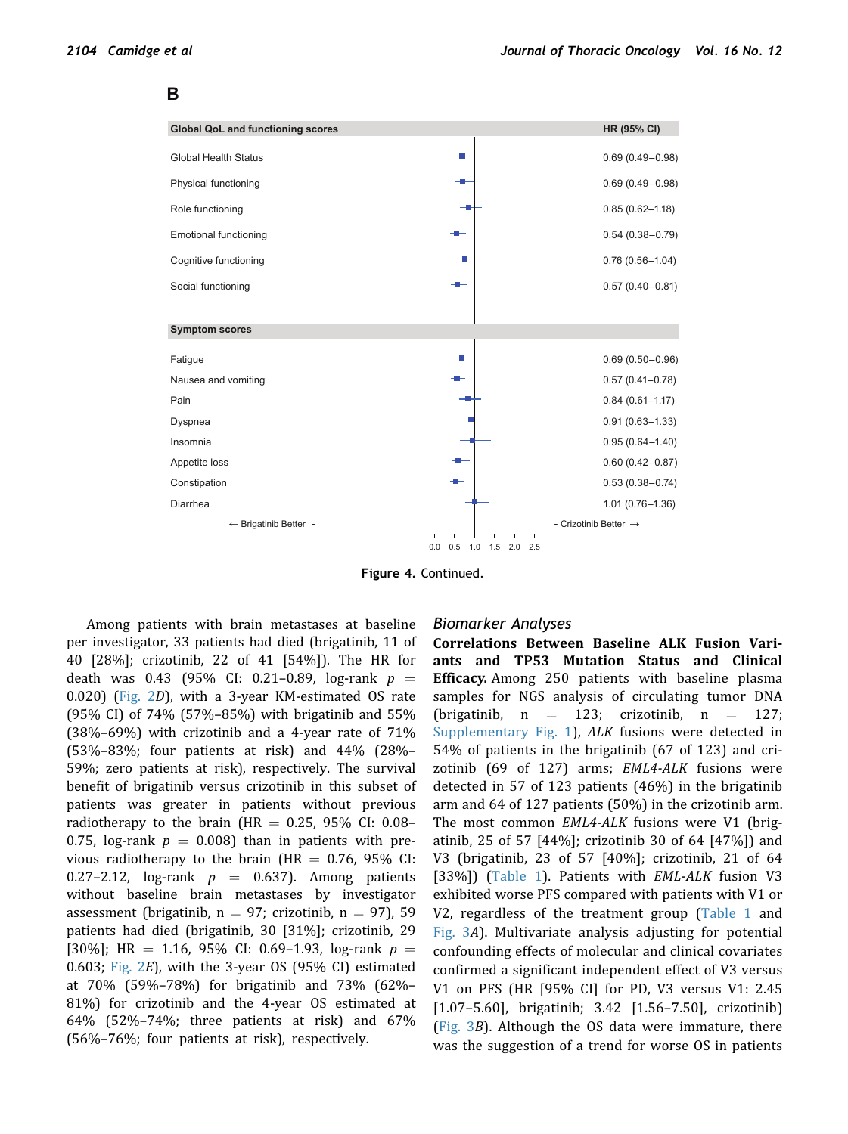#### **B**

| <b>Global QoL and functioning scores</b> |                                        | HR (95% CI)                       |
|------------------------------------------|----------------------------------------|-----------------------------------|
| <b>Global Health Status</b>              |                                        | $0.69(0.49 - 0.98)$               |
| Physical functioning                     |                                        | $0.69(0.49 - 0.98)$               |
| Role functioning                         |                                        | $0.85(0.62 - 1.18)$               |
| <b>Emotional functioning</b>             |                                        | $0.54(0.38 - 0.79)$               |
| Cognitive functioning                    |                                        | $0.76(0.56 - 1.04)$               |
| Social functioning                       |                                        | $0.57(0.40 - 0.81)$               |
|                                          |                                        |                                   |
| <b>Symptom scores</b>                    |                                        |                                   |
| Fatigue                                  |                                        | $0.69(0.50 - 0.96)$               |
| Nausea and vomiting                      |                                        | $0.57(0.41 - 0.78)$               |
| Pain                                     |                                        | $0.84(0.61 - 1.17)$               |
| Dyspnea                                  |                                        | $0.91(0.63 - 1.33)$               |
| Insomnia                                 |                                        | $0.95(0.64 - 1.40)$               |
| Appetite loss                            |                                        | $0.60(0.42 - 0.87)$               |
| Constipation                             | æ.,                                    | $0.53(0.38 - 0.74)$               |
| Diarrhea                                 |                                        | $1.01(0.76 - 1.36)$               |
| ← Brigatinib Better -                    |                                        | - Crizotinib Better $\rightarrow$ |
|                                          | 0.5<br>1.5<br>2.0<br>0.0<br>1.0<br>2.5 |                                   |

Figure 4. Continued.

Among patients with brain metastases at baseline per investigator, 33 patients had died (brigatinib, 11 of 40 [28%]; crizotinib, 22 of 41 [54%]). The HR for death was 0.43 (95% CI: 0.21-0.89, log-rank  $p =$ 0.020) [\(Fig. 2](#page-5-0)D), with a 3-year KM-estimated OS rate (95% CI) of 74% (57%–85%) with brigatinib and 55% (38%–69%) with crizotinib and a 4-year rate of 71% (53%–83%; four patients at risk) and 44% (28%– 59%; zero patients at risk), respectively. The survival benefit of brigatinib versus crizotinib in this subset of patients was greater in patients without previous radiotherapy to the brain (HR  $=$  0.25, 95% CI: 0.08– 0.75, log-rank  $p = 0.008$ ) than in patients with previous radiotherapy to the brain (HR  $=$  0.76, 95% CI: 0.27–2.12, log-rank  $p = 0.637$ ). Among patients without baseline brain metastases by investigator assessment (brigatinib,  $n = 97$ ; crizotinib,  $n = 97$ ), 59 patients had died (brigatinib, 30 [31%]; crizotinib, 29 [30%]; HR = 1.16, 95% CI: 0.69-1.93, log-rank  $p =$ 0.603; [Fig. 2](#page-5-0)E), with the 3-year OS (95% CI) estimated at 70% (59%–78%) for brigatinib and 73% (62%– 81%) for crizotinib and the 4-year OS estimated at 64% (52%–74%; three patients at risk) and 67% (56%–76%; four patients at risk), respectively.

#### Biomarker Analyses

Correlations Between Baseline ALK Fusion Variants and TP53 Mutation Status and Clinical Efficacy. Among 250 patients with baseline plasma samples for NGS analysis of circulating tumor DNA (brigatinib,  $n = 123$ ; crizotinib,  $n = 127$ ; Supplementary Fig. 1), ALK fusions were detected in 54% of patients in the brigatinib (67 of 123) and crizotinib (69 of 127) arms; EML4-ALK fusions were detected in 57 of 123 patients (46%) in the brigatinib arm and 64 of 127 patients (50%) in the crizotinib arm. The most common EML4-ALK fusions were V1 (brigatinib, 25 of 57 [44%]; crizotinib 30 of 64 [47%]) and V3 (brigatinib, 23 of 57 [40%]; crizotinib, 21 of 64 [33%]) [\(Table 1](#page-7-0)). Patients with EML-ALK fusion V3 exhibited worse PFS compared with patients with V1 or V2, regardless of the treatment group ([Table 1](#page-7-0) and [Fig. 3](#page-8-0)A). Multivariate analysis adjusting for potential confounding effects of molecular and clinical covariates confirmed a significant independent effect of V3 versus V1 on PFS (HR [95% CI] for PD, V3 versus V1: 2.45 [1.07–5.60], brigatinib; 3.42 [1.56–7.50], crizotinib) ([Fig. 3](#page-8-0)B). Although the OS data were immature, there was the suggestion of a trend for worse OS in patients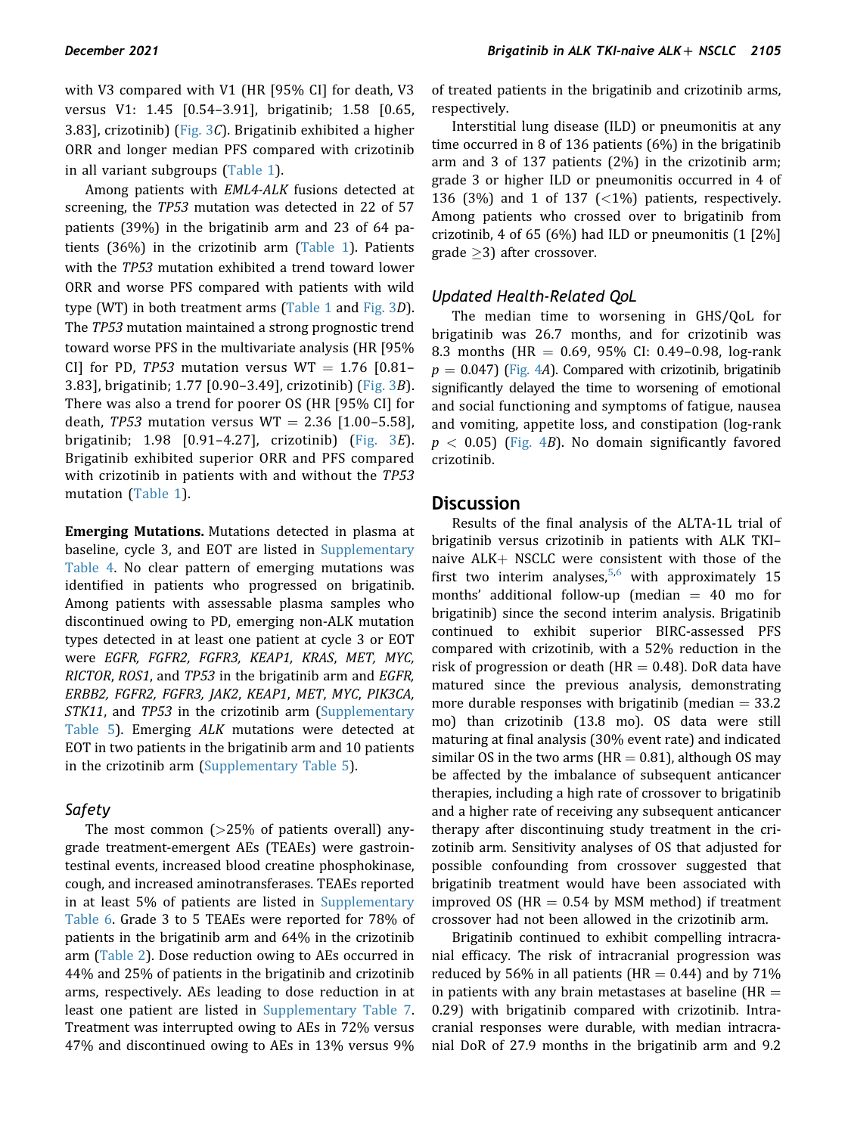with V3 compared with V1 (HR [95% CI] for death, V3 versus V1: 1.45 [0.54–3.91], brigatinib; 1.58 [0.65, 3.83], crizotinib) ([Fig. 3](#page-8-0)C). Brigatinib exhibited a higher ORR and longer median PFS compared with crizotinib in all variant subgroups ([Table 1\)](#page-7-0).

Among patients with EML4-ALK fusions detected at screening, the TP53 mutation was detected in 22 of 57 patients (39%) in the brigatinib arm and 23 of 64 patients (36%) in the crizotinib arm [\(Table 1](#page-7-0)). Patients with the TP53 mutation exhibited a trend toward lower ORR and worse PFS compared with patients with wild type (WT) in both treatment arms [\(Table 1](#page-7-0) and [Fig. 3](#page-8-0)D). The TP53 mutation maintained a strong prognostic trend toward worse PFS in the multivariate analysis (HR [95% CI] for PD, TP53 mutation versus  $WT = 1.76$  [0.81– 3.83], brigatinib; 1.77 [0.90–3.49], crizotinib) [\(Fig. 3](#page-8-0)B). There was also a trend for poorer OS (HR [95% CI] for death, TP53 mutation versus  $WT = 2.36$  [1.00–5.58], brigatinib;  $1.98$  [0.91-4.27], crizotinib) (Fig.  $3E$ ). Brigatinib exhibited superior ORR and PFS compared with crizotinib in patients with and without the TP53 mutation ([Table 1\)](#page-7-0).

Emerging Mutations. Mutations detected in plasma at baseline, cycle 3, and EOT are listed in Supplementary Table 4. No clear pattern of emerging mutations was identified in patients who progressed on brigatinib. Among patients with assessable plasma samples who discontinued owing to PD, emerging non-ALK mutation types detected in at least one patient at cycle 3 or EOT were EGFR, FGFR2, FGFR3, KEAP1, KRAS, MET, MYC, RICTOR, ROS1, and TP53 in the brigatinib arm and EGFR, ERBB2, FGFR2, FGFR3, JAK2, KEAP1, MET, MYC, PIK3CA, STK11, and TP53 in the crizotinib arm (Supplementary Table 5). Emerging ALK mutations were detected at EOT in two patients in the brigatinib arm and 10 patients in the crizotinib arm (Supplementary Table 5).

#### Safety

The most common ( $>25\%$  of patients overall) anygrade treatment-emergent AEs (TEAEs) were gastrointestinal events, increased blood creatine phosphokinase, cough, and increased aminotransferases. TEAEs reported in at least 5% of patients are listed in Supplementary Table 6. Grade 3 to 5 TEAEs were reported for 78% of patients in the brigatinib arm and 64% in the crizotinib arm ([Table 2\)](#page-11-2). Dose reduction owing to AEs occurred in 44% and 25% of patients in the brigatinib and crizotinib arms, respectively. AEs leading to dose reduction in at least one patient are listed in Supplementary Table 7. Treatment was interrupted owing to AEs in 72% versus 47% and discontinued owing to AEs in 13% versus 9%

of treated patients in the brigatinib and crizotinib arms, respectively.

Interstitial lung disease (ILD) or pneumonitis at any time occurred in 8 of 136 patients (6%) in the brigatinib arm and 3 of 137 patients (2%) in the crizotinib arm; grade 3 or higher ILD or pneumonitis occurred in 4 of 136 (3%) and 1 of 137 ( $\langle 1\%$ ) patients, respectively. Among patients who crossed over to brigatinib from crizotinib, 4 of 65  $(6%)$  had ILD or pneumonitis  $(1 \, [2\%])$ grade  $\geq$ 3) after crossover.

#### Updated Health-Related QoL

The median time to worsening in GHS/QoL for brigatinib was 26.7 months, and for crizotinib was 8.3 months (HR =  $0.69$ , 95% CI: 0.49-0.98, log-rank  $p = 0.047$ ) [\(Fig. 4](#page-12-0)A). Compared with crizotinib, brigatinib significantly delayed the time to worsening of emotional and social functioning and symptoms of fatigue, nausea and vomiting, appetite loss, and constipation (log-rank  $p < 0.05$ ) ([Fig. 4](#page-12-0)B). No domain significantly favored crizotinib.

#### Discussion

Results of the final analysis of the ALTA-1L trial of brigatinib versus crizotinib in patients with ALK TKI– naive  $ALK<sub>+</sub>$  NSCLC were consistent with those of the first two interim analyses,<sup>[5](#page-16-1),[6](#page-16-2)</sup> with approximately 15 months' additional follow-up (median  $= 40$  mo for brigatinib) since the second interim analysis. Brigatinib continued to exhibit superior BIRC-assessed PFS compared with crizotinib, with a 52% reduction in the risk of progression or death (HR  $= 0.48$ ). DoR data have matured since the previous analysis, demonstrating more durable responses with brigatinib (median  $=$  33.2 mo) than crizotinib (13.8 mo). OS data were still maturing at final analysis (30% event rate) and indicated similar OS in the two arms (HR  $= 0.81$ ), although OS may be affected by the imbalance of subsequent anticancer therapies, including a high rate of crossover to brigatinib and a higher rate of receiving any subsequent anticancer therapy after discontinuing study treatment in the crizotinib arm. Sensitivity analyses of OS that adjusted for possible confounding from crossover suggested that brigatinib treatment would have been associated with improved OS (HR  $= 0.54$  by MSM method) if treatment crossover had not been allowed in the crizotinib arm.

Brigatinib continued to exhibit compelling intracranial efficacy. The risk of intracranial progression was reduced by 56% in all patients (HR  $= 0.44$ ) and by 71% in patients with any brain metastases at baseline (HR  $=$ 0.29) with brigatinib compared with crizotinib. Intracranial responses were durable, with median intracranial DoR of 27.9 months in the brigatinib arm and 9.2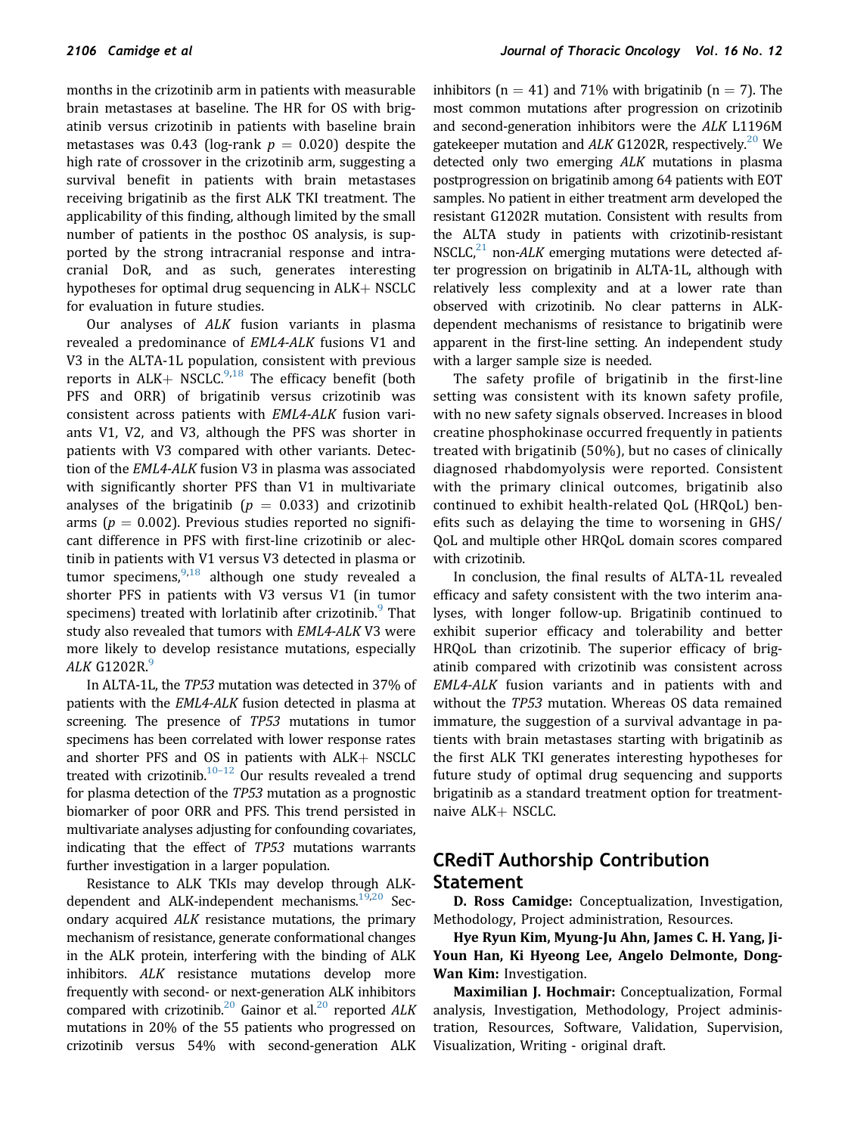months in the crizotinib arm in patients with measurable brain metastases at baseline. The HR for OS with brigatinib versus crizotinib in patients with baseline brain metastases was 0.43 (log-rank  $p = 0.020$ ) despite the high rate of crossover in the crizotinib arm, suggesting a survival benefit in patients with brain metastases receiving brigatinib as the first ALK TKI treatment. The applicability of this finding, although limited by the small number of patients in the posthoc OS analysis, is supported by the strong intracranial response and intracranial DoR, and as such, generates interesting hypotheses for optimal drug sequencing in  $ALK + NSCLC$ for evaluation in future studies.

Our analyses of ALK fusion variants in plasma revealed a predominance of EML4-ALK fusions V1 and V3 in the ALTA-1L population, consistent with previous reports in ALK+ NSCLC.<sup>[9](#page-16-5),[18](#page-17-5)</sup> The efficacy benefit (both PFS and ORR) of brigatinib versus crizotinib was consistent across patients with EML4-ALK fusion variants V1, V2, and V3, although the PFS was shorter in patients with V3 compared with other variants. Detection of the EML4-ALK fusion V3 in plasma was associated with significantly shorter PFS than V1 in multivariate analyses of the brigatinib ( $p = 0.033$ ) and crizotinib arms ( $p = 0.002$ ). Previous studies reported no significant difference in PFS with first-line crizotinib or alectinib in patients with V1 versus V3 detected in plasma or tumor specimens,  $9.18$  $9.18$  although one study revealed a shorter PFS in patients with V3 versus V1 (in tumor specimens) treated with lorlatinib after crizotinib.<sup>[9](#page-16-5)</sup> That study also revealed that tumors with EML4-ALK V3 were more likely to develop resistance mutations, especially ALK G1202R.<sup>[9](#page-16-5)</sup>

In ALTA-1L, the TP53 mutation was detected in 37% of patients with the EML4-ALK fusion detected in plasma at screening. The presence of TP53 mutations in tumor specimens has been correlated with lower response rates and shorter PFS and OS in patients with  $ALK+$  NSCLC treated with crizotinib.<sup>10-12</sup> Our results revealed a trend for plasma detection of the TP53 mutation as a prognostic biomarker of poor ORR and PFS. This trend persisted in multivariate analyses adjusting for confounding covariates, indicating that the effect of TP53 mutations warrants further investigation in a larger population.

Resistance to ALK TKIs may develop through ALKdependent and ALK-independent mechanisms. $19,20$  $19,20$  Secondary acquired ALK resistance mutations, the primary mechanism of resistance, generate conformational changes in the ALK protein, interfering with the binding of ALK inhibitors. ALK resistance mutations develop more frequently with second- or next-generation ALK inhibitors compared with crizotinib.<sup>20</sup> Gainor et al.<sup>20</sup> reported  $ALK$ mutations in 20% of the 55 patients who progressed on crizotinib versus 54% with second-generation ALK inhibitors (n = 41) and 71% with brigatinib (n = 7). The most common mutations after progression on crizotinib and second-generation inhibitors were the ALK L1196M gatekeeper mutation and  $ALK$  G1202R, respectively.<sup>20</sup> We detected only two emerging ALK mutations in plasma postprogression on brigatinib among 64 patients with EOT samples. No patient in either treatment arm developed the resistant G1202R mutation. Consistent with results from the ALTA study in patients with crizotinib-resistant NSCLC, $^{21}$  non-ALK emerging mutations were detected after progression on brigatinib in ALTA-1L, although with relatively less complexity and at a lower rate than observed with crizotinib. No clear patterns in ALKdependent mechanisms of resistance to brigatinib were apparent in the first-line setting. An independent study with a larger sample size is needed.

The safety profile of brigatinib in the first-line setting was consistent with its known safety profile, with no new safety signals observed. Increases in blood creatine phosphokinase occurred frequently in patients treated with brigatinib (50%), but no cases of clinically diagnosed rhabdomyolysis were reported. Consistent with the primary clinical outcomes, brigatinib also continued to exhibit health-related QoL (HRQoL) benefits such as delaying the time to worsening in GHS/ QoL and multiple other HRQoL domain scores compared with crizotinib.

In conclusion, the final results of ALTA-1L revealed efficacy and safety consistent with the two interim analyses, with longer follow-up. Brigatinib continued to exhibit superior efficacy and tolerability and better HRQoL than crizotinib. The superior efficacy of brigatinib compared with crizotinib was consistent across EML4-ALK fusion variants and in patients with and without the TP53 mutation. Whereas OS data remained immature, the suggestion of a survival advantage in patients with brain metastases starting with brigatinib as the first ALK TKI generates interesting hypotheses for future study of optimal drug sequencing and supports brigatinib as a standard treatment option for treatmentnaive ALK+ NSCLC.

# CRediT Authorship Contribution Statement

D. Ross Camidge: Conceptualization, Investigation, Methodology, Project administration, Resources.

Hye Ryun Kim, Myung-Ju Ahn, James C. H. Yang, Ji-Youn Han, Ki Hyeong Lee, Angelo Delmonte, Dong-Wan Kim: Investigation.

Maximilian J. Hochmair: Conceptualization, Formal analysis, Investigation, Methodology, Project administration, Resources, Software, Validation, Supervision, Visualization, Writing - original draft.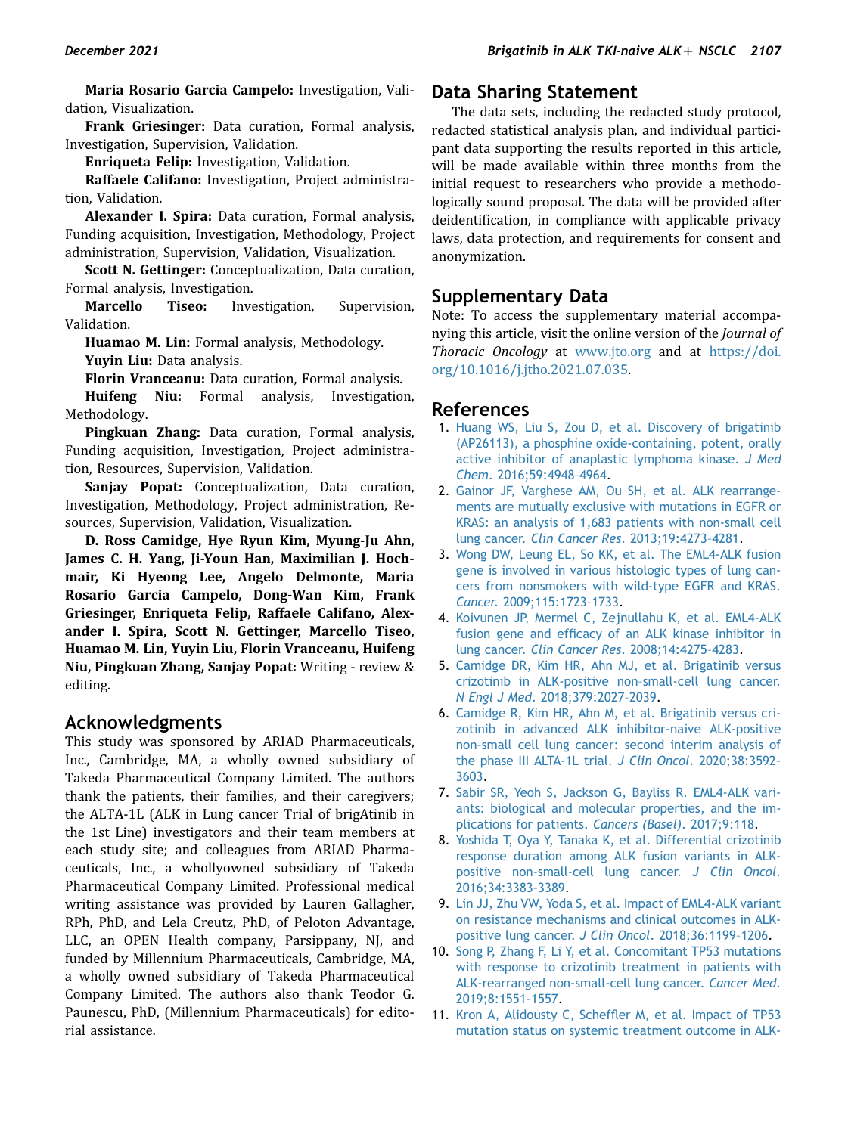Maria Rosario Garcia Campelo: Investigation, Validation, Visualization.

Frank Griesinger: Data curation, Formal analysis, Investigation, Supervision, Validation.

Enriqueta Felip: Investigation, Validation.

Raffaele Califano: Investigation, Project administration, Validation.

Alexander I. Spira: Data curation, Formal analysis, Funding acquisition, Investigation, Methodology, Project administration, Supervision, Validation, Visualization.

Scott N. Gettinger: Conceptualization, Data curation, Formal analysis, Investigation.

Marcello Tiseo: Investigation, Supervision, Validation.

Huamao M. Lin: Formal analysis, Methodology.

Yuyin Liu: Data analysis.

Florin Vranceanu: Data curation, Formal analysis.

Huifeng Niu: Formal analysis, Investigation, Methodology.

Pingkuan Zhang: Data curation, Formal analysis, Funding acquisition, Investigation, Project administration, Resources, Supervision, Validation.

Sanjay Popat: Conceptualization, Data curation, Investigation, Methodology, Project administration, Resources, Supervision, Validation, Visualization.

D. Ross Camidge, Hye Ryun Kim, Myung-Ju Ahn, James C. H. Yang, Ji-Youn Han, Maximilian J. Hochmair, Ki Hyeong Lee, Angelo Delmonte, Maria Rosario Garcia Campelo, Dong-Wan Kim, Frank Griesinger, Enriqueta Felip, Raffaele Califano, Alexander I. Spira, Scott N. Gettinger, Marcello Tiseo, Huamao M. Lin, Yuyin Liu, Florin Vranceanu, Huifeng Niu, Pingkuan Zhang, Sanjay Popat: Writing - review & editing.

### Acknowledgments

This study was sponsored by ARIAD Pharmaceuticals, Inc., Cambridge, MA, a wholly owned subsidiary of Takeda Pharmaceutical Company Limited. The authors thank the patients, their families, and their caregivers; the ALTA-1L (ALK in Lung cancer Trial of brigAtinib in the 1st Line) investigators and their team members at each study site; and colleagues from ARIAD Pharmaceuticals, Inc., a whollyowned subsidiary of Takeda Pharmaceutical Company Limited. Professional medical writing assistance was provided by Lauren Gallagher, RPh, PhD, and Lela Creutz, PhD, of Peloton Advantage, LLC, an OPEN Health company, Parsippany, NJ, and funded by Millennium Pharmaceuticals, Cambridge, MA, a wholly owned subsidiary of Takeda Pharmaceutical Company Limited. The authors also thank Teodor G. Paunescu, PhD, (Millennium Pharmaceuticals) for editorial assistance.

### Data Sharing Statement

The data sets, including the redacted study protocol, redacted statistical analysis plan, and individual participant data supporting the results reported in this article, will be made available within three months from the initial request to researchers who provide a methodologically sound proposal. The data will be provided after deidentification, in compliance with applicable privacy laws, data protection, and requirements for consent and anonymization.

## Supplementary Data

Note: To access the supplementary material accompanying this article, visit the online version of the Journal of Thoracic Oncology at [www.jto.org](http://www.jto.org) and at [https://doi.](https://doi.org/10.1016/j.jtho.2021.07.035) [org/10.1016/j.jtho.2021.07.035](https://doi.org/10.1016/j.jtho.2021.07.035).

### <span id="page-16-0"></span>References

- 1. [Huang WS, Liu S, Zou D, et al. Discovery of brigatinib](http://refhub.elsevier.com/S1556-0864(21)02398-4/sref1) [\(AP26113\), a phosphine oxide-containing, potent, orally](http://refhub.elsevier.com/S1556-0864(21)02398-4/sref1) [active inhibitor of anaplastic lymphoma kinase.](http://refhub.elsevier.com/S1556-0864(21)02398-4/sref1) J Med Chem[. 2016;59:4948](http://refhub.elsevier.com/S1556-0864(21)02398-4/sref1)–4964.
- 2. [Gainor JF, Varghese AM, Ou SH, et al. ALK rearrange](http://refhub.elsevier.com/S1556-0864(21)02398-4/sref2)[ments are mutually exclusive with mutations in EGFR or](http://refhub.elsevier.com/S1556-0864(21)02398-4/sref2) [KRAS: an analysis of 1,683 patients with non-small cell](http://refhub.elsevier.com/S1556-0864(21)02398-4/sref2) lung cancer. [Clin Cancer Res](http://refhub.elsevier.com/S1556-0864(21)02398-4/sref2). 2013;19:4273–4281.
- 3. [Wong DW, Leung EL, So KK, et al. The EML4-ALK fusion](http://refhub.elsevier.com/S1556-0864(21)02398-4/sref3) [gene is involved in various histologic types of lung can](http://refhub.elsevier.com/S1556-0864(21)02398-4/sref3)[cers from nonsmokers with wild-type EGFR and KRAS.](http://refhub.elsevier.com/S1556-0864(21)02398-4/sref3) Cancer[. 2009;115:1723](http://refhub.elsevier.com/S1556-0864(21)02398-4/sref3)–1733.
- 4. [Koivunen JP, Mermel C, Zejnullahu K, et al. EML4-ALK](http://refhub.elsevier.com/S1556-0864(21)02398-4/sref4) fusion gene and effi[cacy of an ALK kinase inhibitor in](http://refhub.elsevier.com/S1556-0864(21)02398-4/sref4) lung cancer. [Clin Cancer Res](http://refhub.elsevier.com/S1556-0864(21)02398-4/sref4). 2008;14:4275–4283.
- <span id="page-16-1"></span>5. [Camidge DR, Kim HR, Ahn MJ, et al. Brigatinib versus](http://refhub.elsevier.com/S1556-0864(21)02398-4/sref5) [crizotinib in ALK-positive non](http://refhub.elsevier.com/S1556-0864(21)02398-4/sref5)–small-cell lung cancer. N Engl J Med[. 2018;379:2027](http://refhub.elsevier.com/S1556-0864(21)02398-4/sref5)–2039.
- <span id="page-16-2"></span>6. [Camidge R, Kim HR, Ahn M, et al. Brigatinib versus cri](http://refhub.elsevier.com/S1556-0864(21)02398-4/sref6)[zotinib in advanced ALK inhibitor-naive ALK-positive](http://refhub.elsevier.com/S1556-0864(21)02398-4/sref6) non–[small cell lung cancer: second interim analysis of](http://refhub.elsevier.com/S1556-0864(21)02398-4/sref6) [the phase III ALTA-1L trial.](http://refhub.elsevier.com/S1556-0864(21)02398-4/sref6) J Clin Oncol. 2020;38:3592– [3603](http://refhub.elsevier.com/S1556-0864(21)02398-4/sref6).
- <span id="page-16-3"></span>7. [Sabir SR, Yeoh S, Jackson G, Bayliss R. EML4-ALK vari](http://refhub.elsevier.com/S1556-0864(21)02398-4/sref7)[ants: biological and molecular properties, and the im](http://refhub.elsevier.com/S1556-0864(21)02398-4/sref7)[plications for patients.](http://refhub.elsevier.com/S1556-0864(21)02398-4/sref7) Cancers (Basel). 2017;9:118.
- 8. [Yoshida T, Oya Y, Tanaka K, et al. Differential crizotinib](http://refhub.elsevier.com/S1556-0864(21)02398-4/sref8) [response duration among ALK fusion variants in ALK](http://refhub.elsevier.com/S1556-0864(21)02398-4/sref8)[positive non-small-cell lung cancer.](http://refhub.elsevier.com/S1556-0864(21)02398-4/sref8) J Clin Oncol. [2016;34:3383](http://refhub.elsevier.com/S1556-0864(21)02398-4/sref8)–3389.
- <span id="page-16-5"></span>9. [Lin JJ, Zhu VW, Yoda S, et al. Impact of EML4-ALK variant](http://refhub.elsevier.com/S1556-0864(21)02398-4/sref9) [on resistance mechanisms and clinical outcomes in ALK](http://refhub.elsevier.com/S1556-0864(21)02398-4/sref9)[positive lung cancer.](http://refhub.elsevier.com/S1556-0864(21)02398-4/sref9) J Clin Oncol. 2018;36:1199–1206.
- <span id="page-16-4"></span>10. [Song P, Zhang F, Li Y, et al. Concomitant TP53 mutations](http://refhub.elsevier.com/S1556-0864(21)02398-4/sref10) [with response to crizotinib treatment in patients with](http://refhub.elsevier.com/S1556-0864(21)02398-4/sref10) [ALK-rearranged non-small-cell lung cancer.](http://refhub.elsevier.com/S1556-0864(21)02398-4/sref10) Cancer Med. [2019;8:1551](http://refhub.elsevier.com/S1556-0864(21)02398-4/sref10)–1557.
- 11. Kron A, Alidousty C, Scheffl[er M, et al. Impact of TP53](http://refhub.elsevier.com/S1556-0864(21)02398-4/sref11) [mutation status on systemic treatment outcome in ALK-](http://refhub.elsevier.com/S1556-0864(21)02398-4/sref11)